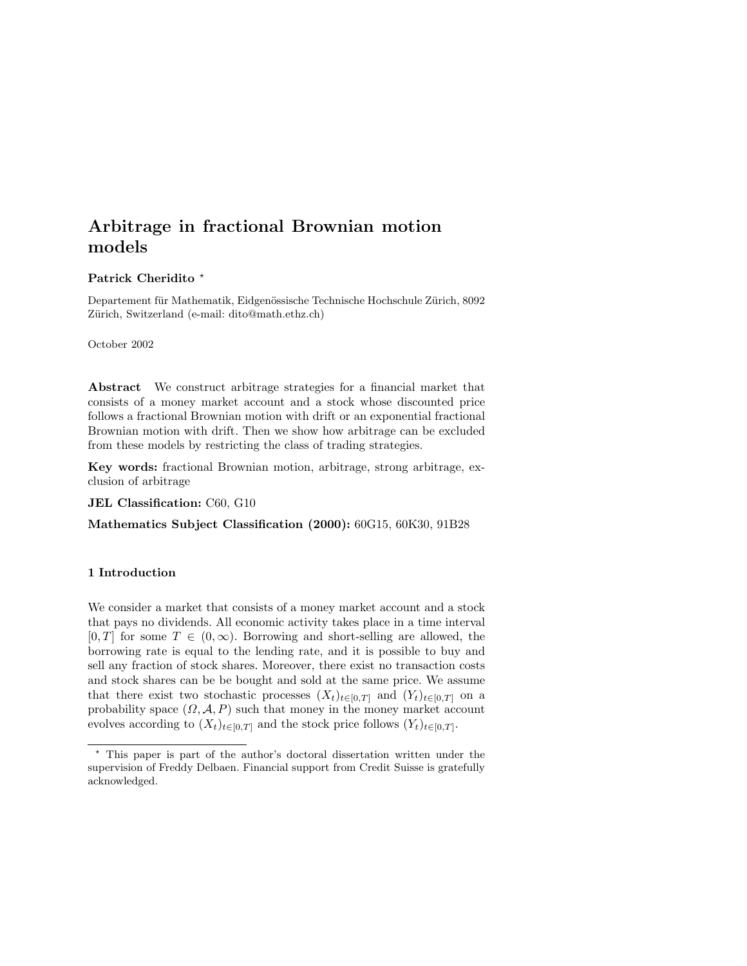### Patrick Cheridito<sup>\*</sup>

Departement für Mathematik, Eidgenössische Technische Hochschule Zürich, 8092 Zürich, Switzerland (e-mail: dito@math.ethz.ch)

#### October 2002

Abstract We construct arbitrage strategies for a financial market that consists of a money market account and a stock whose discounted price follows a fractional Brownian motion with drift or an exponential fractional Brownian motion with drift. Then we show how arbitrage can be excluded from these models by restricting the class of trading strategies.

Key words: fractional Brownian motion, arbitrage, strong arbitrage, exclusion of arbitrage

JEL Classification: C60, G10

Mathematics Subject Classification (2000): 60G15, 60K30, 91B28

### 1 Introduction

We consider a market that consists of a money market account and a stock that pays no dividends. All economic activity takes place in a time interval  $[0, T]$  for some  $T \in (0, \infty)$ . Borrowing and short-selling are allowed, the borrowing rate is equal to the lending rate, and it is possible to buy and sell any fraction of stock shares. Moreover, there exist no transaction costs and stock shares can be be bought and sold at the same price. We assume that there exist two stochastic processes  $(X_t)_{t\in[0,T]}$  and  $(Y_t)_{t\in[0,T]}$  on a probability space  $(\Omega, \mathcal{A}, P)$  such that money in the money market account evolves according to  $(X_t)_{t\in[0,T]}$  and the stock price follows  $(Y_t)_{t\in[0,T]}$ .

<sup>?</sup> This paper is part of the author's doctoral dissertation written under the supervision of Freddy Delbaen. Financial support from Credit Suisse is gratefully acknowledged.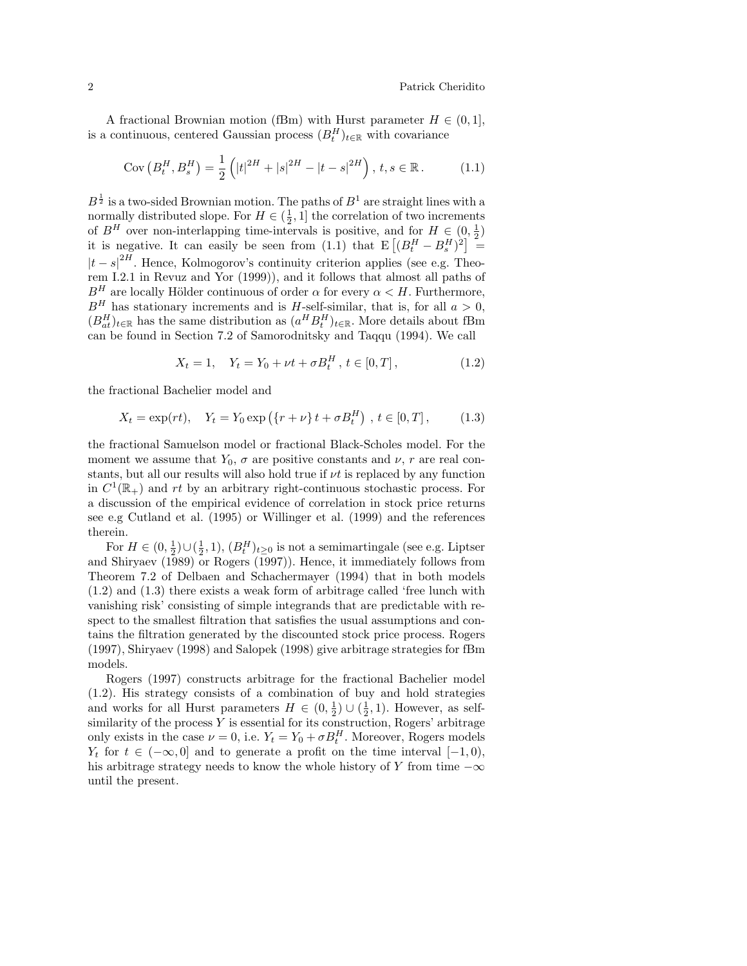A fractional Brownian motion (fBm) with Hurst parameter  $H \in (0, 1]$ , is a continuous, centered Gaussian process  $(B_t^H)_{t \in \mathbb{R}}$  with covariance

$$
Cov\left(B_t^H, B_s^H\right) = \frac{1}{2} \left( |t|^{2H} + |s|^{2H} - |t - s|^{2H} \right), \, t, s \in \mathbb{R}.
$$
 (1.1)

 $B^{\frac{1}{2}}$  is a two-sided Brownian motion. The paths of  $B^1$  are straight lines with a normally distributed slope. For  $H \in (\frac{1}{2}, 1]$  the correlation of two increments of  $B^H$  over non-interlapping time-intervals is positive, and for  $H \in (0, \frac{1}{2})$ <br>it is negative. It can easily be seen from (1.1) that  $E[(B_t^H - B_s^H)^2] =$ =  $|t-s|^{2H}$ . Hence, Kolmogorov's continuity criterion applies (see e.g. Theorem I.2.1 in Revuz and Yor (1999)), and it follows that almost all paths of  $B<sup>H</sup>$  are locally Hölder continuous of order  $\alpha$  for every  $\alpha < H$ . Furthermore,  $B<sup>H</sup>$  has stationary increments and is H-self-similar, that is, for all  $a > 0$ ,  $(B_{at}^H)_{t\in\mathbb{R}}$  has the same distribution as  $(a^H B_t^H)_{t\in\mathbb{R}}$ . More details about fBm can be found in Section 7.2 of Samorodnitsky and Taqqu (1994). We call

$$
X_t = 1, \quad Y_t = Y_0 + \nu t + \sigma B_t^H, \ t \in [0, T], \tag{1.2}
$$

the fractional Bachelier model and

$$
X_t = \exp(rt), \quad Y_t = Y_0 \exp(\{r + \nu\} t + \sigma B_t^H), \ t \in [0, T],
$$
 (1.3)

the fractional Samuelson model or fractional Black-Scholes model. For the moment we assume that  $Y_0$ ,  $\sigma$  are positive constants and  $\nu$ , r are real constants, but all our results will also hold true if  $\nu t$  is replaced by any function in  $C^1(\mathbb{R}_+)$  and rt by an arbitrary right-continuous stochastic process. For a discussion of the empirical evidence of correlation in stock price returns see e.g Cutland et al. (1995) or Willinger et al. (1999) and the references therein.

For  $H \in (0, \frac{1}{2}) \cup (\frac{1}{2}, 1), (B_t^H)_{t \geq 0}$  is not a semimartingale (see e.g. Liptser and Shiryaev (1989) or Rogers (1997)). Hence, it immediately follows from Theorem 7.2 of Delbaen and Schachermayer (1994) that in both models (1.2) and (1.3) there exists a weak form of arbitrage called 'free lunch with vanishing risk' consisting of simple integrands that are predictable with respect to the smallest filtration that satisfies the usual assumptions and contains the filtration generated by the discounted stock price process. Rogers (1997), Shiryaev (1998) and Salopek (1998) give arbitrage strategies for fBm models.

Rogers (1997) constructs arbitrage for the fractional Bachelier model (1.2). His strategy consists of a combination of buy and hold strategies and works for all Hurst parameters  $H \in (0, \frac{1}{2}) \cup (\frac{1}{2}, 1)$ . However, as selfsimilarity of the process  $Y$  is essential for its construction, Rogers' arbitrage only exists in the case  $\nu = 0$ , i.e.  $Y_t = Y_0 + \sigma B_t^H$ . Moreover, Rogers models  $Y_t$  for  $t \in (-\infty, 0]$  and to generate a profit on the time interval  $[-1, 0)$ , his arbitrage strategy needs to know the whole history of Y from time  $-\infty$ until the present.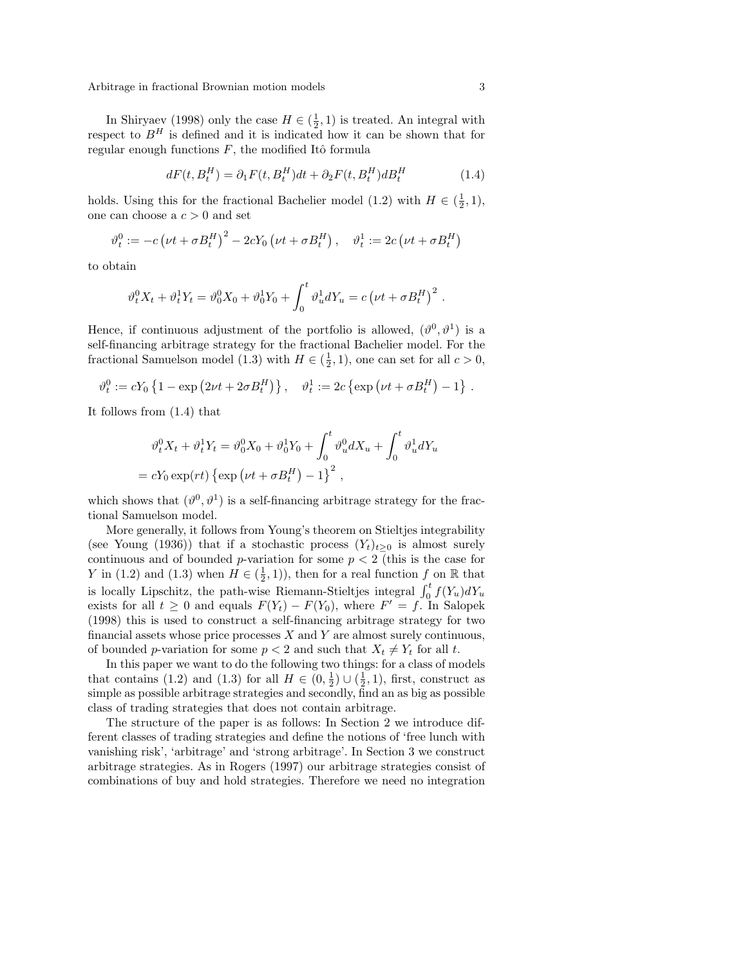In Shiryaev (1998) only the case  $H \in (\frac{1}{2}, 1)$  is treated. An integral with respect to  $B<sup>H</sup>$  is defined and it is indicated how it can be shown that for regular enough functions  $F$ , the modified Itô formula

$$
dF(t, B_t^H) = \partial_1 F(t, B_t^H)dt + \partial_2 F(t, B_t^H)dB_t^H
$$
\n(1.4)

holds. Using this for the fractional Bachelier model (1.2) with  $H \in (\frac{1}{2}, 1)$ , one can choose a  $c > 0$  and set

$$
\vartheta_t^0 := -c \left(\nu t + \sigma B_t^H\right)^2 - 2cY_0 \left(\nu t + \sigma B_t^H\right), \quad \vartheta_t^1 := 2c \left(\nu t + \sigma B_t^H\right)
$$

to obtain

$$
\vartheta_t^0 X_t + \vartheta_t^1 Y_t = \vartheta_0^0 X_0 + \vartheta_0^1 Y_0 + \int_0^t \vartheta_u^1 dY_u = c \left( \nu t + \sigma B_t^H \right)^2.
$$

Hence, if continuous adjustment of the portfolio is allowed,  $(\vartheta^0, \vartheta^1)$  is a self-financing arbitrage strategy for the fractional Bachelier model. For the fractional Samuelson model (1.3) with  $H \in (\frac{1}{2}, 1)$ , one can set for all  $c > 0$ ,

$$
\vartheta_t^0 := cY_0 \left\{ 1 - \exp\left( 2\nu t + 2\sigma B_t^H \right) \right\}, \quad \vartheta_t^1 := 2c \left\{ \exp\left( \nu t + \sigma B_t^H \right) - 1 \right\}.
$$

It follows from (1.4) that

$$
\vartheta_t^0 X_t + \vartheta_t^1 Y_t = \vartheta_0^0 X_0 + \vartheta_0^1 Y_0 + \int_0^t \vartheta_u^0 dX_u + \int_0^t \vartheta_u^1 dY_u
$$
  
=  $cY_0 \exp(rt) \left\{ \exp \left(\nu t + \sigma B_t^H\right) - 1 \right\}^2$ ,

which shows that  $(\vartheta^0, \vartheta^1)$  is a self-financing arbitrage strategy for the fractional Samuelson model.

More generally, it follows from Young's theorem on Stieltjes integrability (see Young (1936)) that if a stochastic process  $(Y_t)_{t\geq 0}$  is almost surely continuous and of bounded p-variation for some  $p < 2$  (this is the case for Y in (1.2) and (1.3) when  $H \in (\frac{1}{2}, 1)$ ), then for a real function f on R that is locally Lipschitz, the path-wise Riemann-Stieltjes integral  $\int_0^t f(Y_u)dY_u$ exists for all  $t \geq 0$  and equals  $F(Y_t) - F(Y_0)$ , where  $F' = f$ . In Salopek (1998) this is used to construct a self-financing arbitrage strategy for two financial assets whose price processes  $X$  and  $Y$  are almost surely continuous, of bounded p-variation for some  $p < 2$  and such that  $X_t \neq Y_t$  for all t.

In this paper we want to do the following two things: for a class of models that contains (1.2) and (1.3) for all  $H \in (0, \frac{1}{2}) \cup (\frac{1}{2}, 1)$ , first, construct as simple as possible arbitrage strategies and secondly, find an as big as possible class of trading strategies that does not contain arbitrage.

The structure of the paper is as follows: In Section 2 we introduce different classes of trading strategies and define the notions of 'free lunch with vanishing risk', 'arbitrage' and 'strong arbitrage'. In Section 3 we construct arbitrage strategies. As in Rogers (1997) our arbitrage strategies consist of combinations of buy and hold strategies. Therefore we need no integration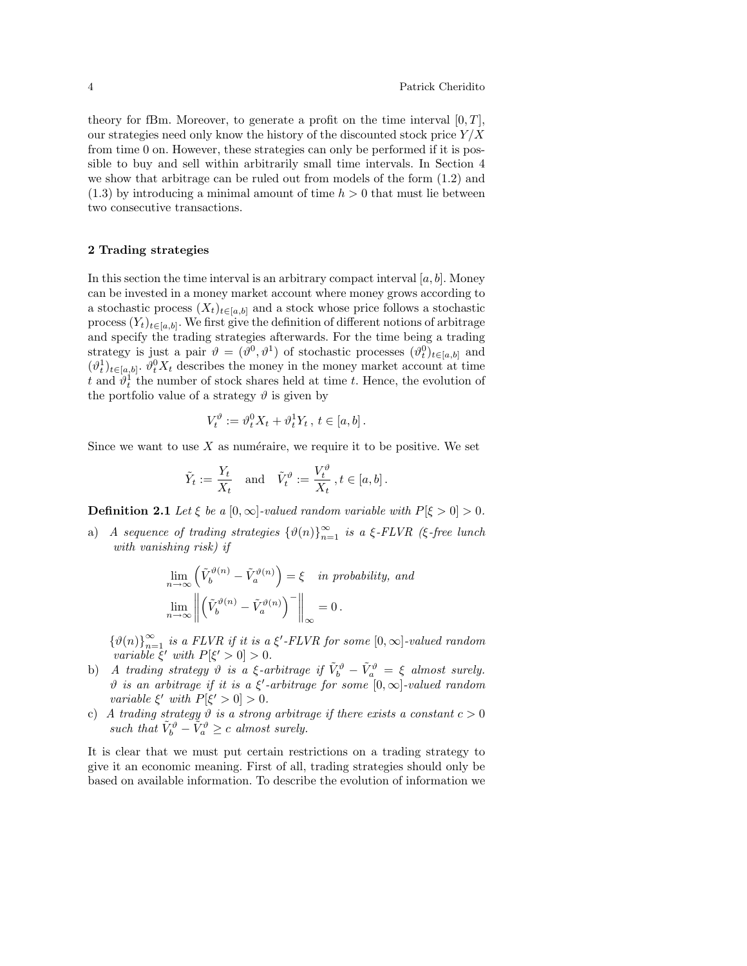theory for fBm. Moreover, to generate a profit on the time interval  $[0, T]$ , our strategies need only know the history of the discounted stock price  $Y/X$ from time 0 on. However, these strategies can only be performed if it is possible to buy and sell within arbitrarily small time intervals. In Section 4 we show that arbitrage can be ruled out from models of the form (1.2) and  $(1.3)$  by introducing a minimal amount of time  $h > 0$  that must lie between two consecutive transactions.

#### 2 Trading strategies

In this section the time interval is an arbitrary compact interval  $[a, b]$ . Money can be invested in a money market account where money grows according to a stochastic process  $(X_t)_{t\in[a,b]}$  and a stock whose price follows a stochastic process  $(Y_t)_{t\in[a,b]}$ . We first give the definition of different notions of arbitrage and specify the trading strategies afterwards. For the time being a trading strategy is just a pair  $\vartheta = (\vartheta^0, \vartheta^1)$  of stochastic processes  $(\vartheta_t^0)_{t \in [a,b]}$  and  $(\vartheta_t^1)_{t\in[a,b]}$ .  $\vartheta_t^0 X_t$  describes the money in the money market account at time t and  $\hat{\theta}_t^1$  the number of stock shares held at time t. Hence, the evolution of the portfolio value of a strategy  $\vartheta$  is given by

$$
V_t^{\vartheta} := \vartheta_t^0 X_t + \vartheta_t^1 Y_t, \ t \in [a, b].
$$

Since we want to use  $X$  as numéraire, we require it to be positive. We set

$$
\tilde{Y}_t := \frac{Y_t}{X_t} \quad \text{and} \quad \tilde{V}_t^{\vartheta} := \frac{V_t^{\vartheta}}{X_t}, t \in [a, b].
$$

**Definition 2.1** Let  $\xi$  be a  $[0, \infty]$ -valued random variable with  $P[\xi > 0] > 0$ .

a) A sequence of trading strategies  $\{\vartheta(n)\}_{n=1}^{\infty}$  is a  $\xi$ -FLVR ( $\xi$ -free lunch with vanishing risk) if

$$
\lim_{n \to \infty} \left( \tilde{V}_b^{\vartheta(n)} - \tilde{V}_a^{\vartheta(n)} \right) = \xi \quad in \ probability, \ and
$$
\n
$$
\lim_{n \to \infty} \left\| \left( \tilde{V}_b^{\vartheta(n)} - \tilde{V}_a^{\vartheta(n)} \right)^{-} \right\|_{\infty} = 0.
$$

 $\{\vartheta(n)\}_{n=1}^{\infty}$  is a FLVR if it is a  $\xi'$ -FLVR for some  $[0,\infty]$ -valued random variable  $\xi'$  with  $P[\xi' > 0] > 0$ .

- b) A trading strategy  $\vartheta$  is a  $\xi$ -arbitrage if  $\tilde{V}^{\vartheta}_b \tilde{V}^{\vartheta}_a = \xi$  almost surely.  $\vartheta$  is an arbitrage if it is a  $\xi'$ -arbitrage for some  $[0,\infty]$ -valued random variable  $\xi'$  with  $P[\xi' > 0] > 0$ .
- c) A trading strategy  $\vartheta$  is a strong arbitrage if there exists a constant  $c > 0$ such that  $\tilde{V}_b^{\vartheta} - \tilde{V}_a^{\vartheta} \ge c$  almost surely.

It is clear that we must put certain restrictions on a trading strategy to give it an economic meaning. First of all, trading strategies should only be based on available information. To describe the evolution of information we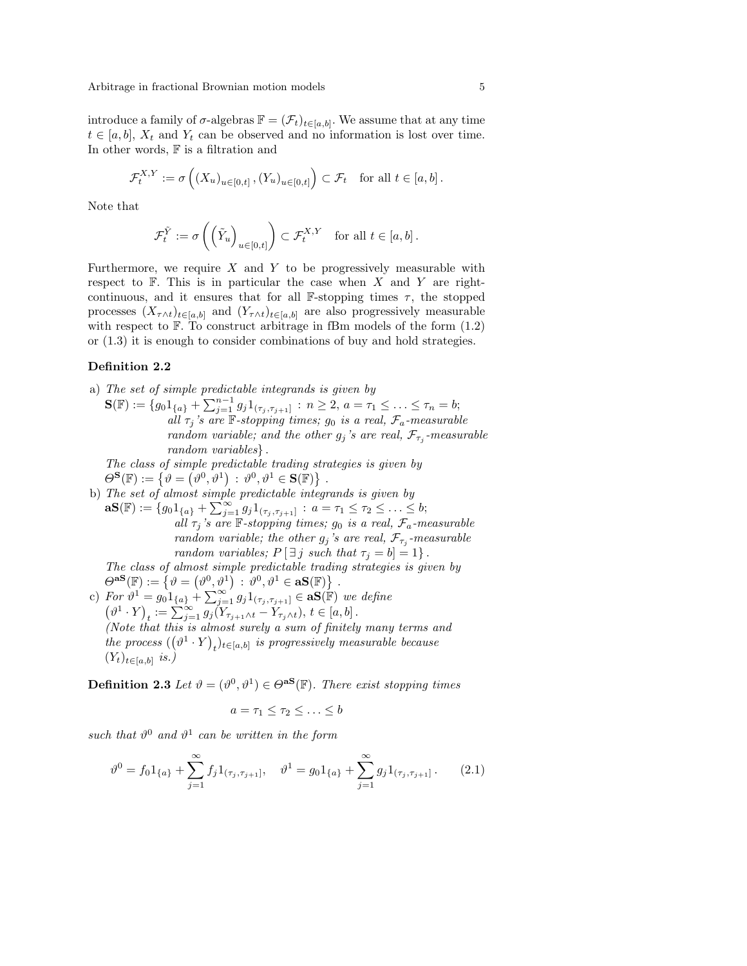introduce a family of  $\sigma$ -algebras  $\mathbb{F} = (\mathcal{F}_t)_{t \in [a,b]}$ . We assume that at any time  $t \in [a, b]$ ,  $X_t$  and  $Y_t$  can be observed and no information is lost over time. In other words, F is a filtration and

$$
\mathcal{F}_t^{X,Y} := \sigma\left( (X_u)_{u \in [0,t]}, (Y_u)_{u \in [0,t]} \right) \subset \mathcal{F}_t \quad \text{for all } t \in [a,b].
$$

Note that

$$
\mathcal{F}_t^{\tilde{Y}} := \sigma\left(\left(\tilde{Y}_u\right)_{u \in [0,t]}\right) \subset \mathcal{F}_t^{X,Y} \quad \text{for all } t \in [a,b].
$$

Furthermore, we require  $X$  and  $Y$  to be progressively measurable with respect to  $F$ . This is in particular the case when X and Y are rightcontinuous, and it ensures that for all  $\mathbb{F}\text{-stopping times }\tau$ , the stopped processes  $(X_{\tau \wedge t})_{t \in [a,b]}$  and  $(Y_{\tau \wedge t})_{t \in [a,b]}$  are also progressively measurable with respect to  $\mathbb F$ . To construct arbitrage in fBm models of the form  $(1.2)$ or (1.3) it is enough to consider combinations of buy and hold strategies.

#### Definition 2.2

a) The set of simple predictable integrands is given by

 $S(\mathbb{F}) := \{g_0 1_{\{a\}} + \sum_{j=1}^{n-1} g_j 1_{(\tau_j, \tau_{j+1}]} : n \geq 2, a = \tau_1 \leq \ldots \leq \tau_n = b;$ all  $\tau_j$ 's are  $\mathbb F$ -stopping times;  $g_0$  is a real,  $\mathcal{F}_a$ -measurable random variable; and the other  $g_j$ 's are real,  $\mathcal{F}_{\tau_j}$ -measurable random variables} .

The class of simple predictable trading strategies is given by The class of simple preatclable trading strength  $\Theta^{\mathbf{S}}(\mathbb{F}) := \{ \vartheta = (\vartheta^0, \vartheta^1) : \vartheta^0, \vartheta^1 \in \mathbf{S}(\mathbb{F}) \}.$ 

b) The set of almost simple predictable integrands is given by **aS**(F) :=  $\{g_0 1_{\{a\}} + \sum_{j=1}^{\infty} g_j 1_{(\tau_j, \tau_{j+1}]} : a = \tau_1 \leq \tau_2 \leq \ldots \leq b;$ all  $\tau_j$ 's are  $\mathbb F$ -stopping times;  $g_0$  is a real,  $\mathcal{F}_a$ -measurable random variable; the other  $g_j$ 's are real,  $\mathcal{F}_{\tau_j}$ -measurable random variables;  $P[\exists j \text{ such that } \tau_j = b] = 1$ .

The class of almost simple predictable trading strategies is given by *The class of aim*<br> $\Theta^{aS}(\mathbb{F}) := \{ \vartheta =$  $^{\rm o}$  $\stackrel{st}{\vartheta^0,\vartheta^1})$  $e\,\,$ preactable tradi $:\,\vartheta^0,\vartheta^1\in\mathbf{aS}(\mathbb{F})\}$ .

c) For  $\vartheta^1 = \{\vartheta = (v^r, v^r) : v^r, v \in \mathbf{a} \mathbf{S}(\mathbb{F})\}$ .<br>
(c) For  $\vartheta^1 = g_0 1_{\{a\}} + \sum_{j=1}^{\infty} g_j 1_{(\tau_j, \tau_{j+1}]} \in \mathbf{a} \mathbf{S}(\mathbb{F})$  we define  $\vartheta^1\cdot Y$ ¢  $t^2 = 90^1\{a\}$  +  $\sum_{j=1}$   $g_j$  1 $(\tau_{j, \tau_{j+1}})$  ∈ **a**3(*\*F) *we*<br>  $t^2$  : =  $\sum_{j=1}^{\infty} g_j(Y_{\tau_{j+1}\wedge t} - Y_{\tau_j\wedge t}), t \in [a, b]$ . (Note that this is almost surely a sum of finitely many terms and the process  $((\vartheta^1 \cdot Y)_t)_{t \in [a,b]}$  is progressively measurable because  $(Y_t)_{t\in[a,b]}$  is.)

**Definition 2.3** Let  $\vartheta = (\vartheta^0, \vartheta^1) \in \Theta^{\mathbf{aS}}(\mathbb{F})$ . There exist stopping times

$$
a=\tau_1\leq \tau_2\leq \ldots \leq b
$$

such that  $\vartheta^0$  and  $\vartheta^1$  can be written in the form

$$
\vartheta^0 = f_0 1_{\{a\}} + \sum_{j=1}^{\infty} f_j 1_{(\tau_j, \tau_{j+1}]}, \quad \vartheta^1 = g_0 1_{\{a\}} + \sum_{j=1}^{\infty} g_j 1_{(\tau_j, \tau_{j+1}]}. \tag{2.1}
$$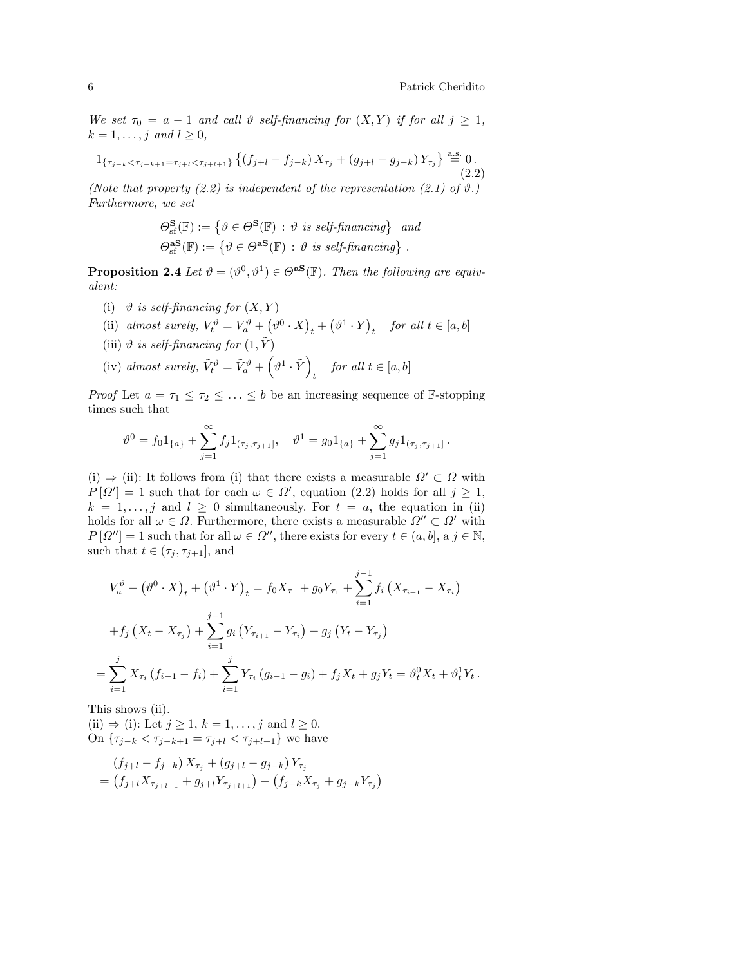We set  $\tau_0 = a - 1$  and call  $\vartheta$  self-financing for  $(X, Y)$  if for all  $j \geq 1$ ,  $k = 1, \ldots, j \text{ and } l \geq 0,$ 

$$
1_{\{\tau_{j-k} < \tau_{j-k+1} = \tau_{j+l} < \tau_{j+l+1}\}} \left\{ (f_{j+l} - f_{j-k}) X_{\tau_j} + (g_{j+l} - g_{j-k}) Y_{\tau_j} \right\} \stackrel{\text{a.s.}}{=} 0. \tag{2.2}
$$

(Note that property  $(2.2)$  is independent of the representation  $(2.1)$  of  $\vartheta$ .) Furthermore, we set

$$
\Theta_{\mathrm{sf}}^{\mathbf{S}}(\mathbb{F}) := \{ \vartheta \in \Theta^{\mathbf{S}}(\mathbb{F}) : \vartheta \text{ is self-financing} \} \text{ and}
$$

$$
\Theta_{\mathrm{sf}}^{\mathbf{aS}}(\mathbb{F}) := \{ \vartheta \in \Theta^{\mathbf{aS}}(\mathbb{F}) : \vartheta \text{ is self-financing} \} .
$$

**Proposition 2.4** Let  $\vartheta = (\vartheta^0, \vartheta^1) \in \Theta^{aS}(\mathbb{F})$ . Then the following are equivalent:

- (i)  $\vartheta$  is self-financing for  $(X, Y)$ ¡
- (ii) almost surely,  $V_t^{\vartheta} = V_a^{\vartheta} +$  $\vartheta^0\cdot X$ ¢  $_t$  + ¡  $\vartheta^1\cdot Y$ ¢ t for all  $t \in [a, b]$
- (iii)  $\vartheta$  is self-financing for  $(1, \tilde{Y})$  $\frac{1}{2}$
- (iv) almost surely,  $\tilde{V}_t^{\vartheta} = \tilde{V}_a^{\vartheta} +$  $\vartheta^1\cdot \tilde Y$ ´  $for \ all \ t \in [a, b]$

*Proof* Let  $a = \tau_1 \leq \tau_2 \leq \ldots \leq b$  be an increasing sequence of F-stopping times such that

$$
\vartheta^0 = f_0 1_{\{a\}} + \sum_{j=1}^{\infty} f_j 1_{(\tau_j, \tau_{j+1}]}, \quad \vartheta^1 = g_0 1_{\{a\}} + \sum_{j=1}^{\infty} g_j 1_{(\tau_j, \tau_{j+1}]}.
$$

(i)  $\Rightarrow$  (ii): It follows from (i) that there exists a measurable  $\Omega' \subset \Omega$  with  $P[\Omega'] = 1$  such that for each  $\omega \in \Omega'$ , equation (2.2) holds for all  $j \geq 1$ ,  $k = 1, \ldots, j$  and  $l \geq 0$  simultaneously. For  $t = a$ , the equation in (ii) holds for all  $\omega \in \Omega$ . Furthermore, there exists a measurable  $\Omega'' \subset \Omega'$  with  $P[\Omega''] = 1$  such that for all  $\omega \in \Omega''$ , there exists for every  $t \in (a, b]$ , a  $j \in \mathbb{N}$ , such that  $t \in (\tau_j, \tau_{j+1}],$  and

$$
V_a^{\vartheta} + (\vartheta^0 \cdot X)_t + (\vartheta^1 \cdot Y)_t = f_0 X_{\tau_1} + g_0 Y_{\tau_1} + \sum_{i=1}^{j-1} f_i (X_{\tau_{i+1}} - X_{\tau_i})
$$
  
+ 
$$
f_j (X_t - X_{\tau_j}) + \sum_{i=1}^{j-1} g_i (Y_{\tau_{i+1}} - Y_{\tau_i}) + g_j (Y_t - Y_{\tau_j})
$$
  
= 
$$
\sum_{i=1}^{j} X_{\tau_i} (f_{i-1} - f_i) + \sum_{i=1}^{j} Y_{\tau_i} (g_{i-1} - g_i) + f_j X_t + g_j Y_t = \vartheta_t^0 X_t + \vartheta_t^1 Y_t.
$$

This shows (ii).

(ii)  $\Rightarrow$  (i): Let  $j \geq 1$ ,  $k = 1, \ldots, j$  and  $l \geq 0$ . On { $τ_{j-k} < τ_{j-k+1} = τ_{j+l} < τ_{j+l+1}$ } we have

$$
(f_{j+l} - f_{j-k}) X_{\tau_j} + (g_{j+l} - g_{j-k}) Y_{\tau_j}
$$
  
=  $(f_{j+l} X_{\tau_{j+l+1}} + g_{j+l} Y_{\tau_{j+l+1}}) - (f_{j-k} X_{\tau_j} + g_{j-k} Y_{\tau_j})$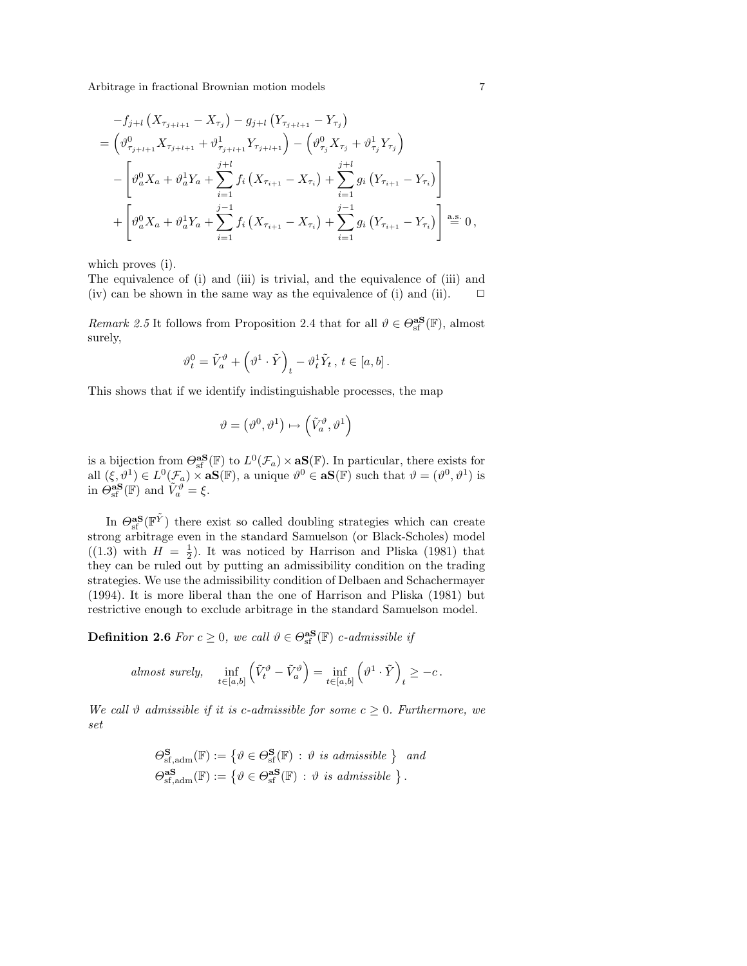$$
-f_{j+l}(X_{\tau_{j+l+1}} - X_{\tau_j}) - g_{j+l}(Y_{\tau_{j+l+1}} - Y_{\tau_j})
$$
  
\n
$$
= \left(\vartheta_{\tau_{j+l+1}}^0 X_{\tau_{j+l+1}} + \vartheta_{\tau_{j+l+1}}^1 Y_{\tau_{j+l+1}}\right) - \left(\vartheta_{\tau_j}^0 X_{\tau_j} + \vartheta_{\tau_j}^1 Y_{\tau_j}\right)
$$
  
\n
$$
- \left[\vartheta_a^0 X_a + \vartheta_a^1 Y_a + \sum_{i=1}^{j+l} f_i (X_{\tau_{i+1}} - X_{\tau_i}) + \sum_{i=1}^{j+l} g_i (Y_{\tau_{i+1}} - Y_{\tau_i})\right]
$$
  
\n
$$
+ \left[\vartheta_a^0 X_a + \vartheta_a^1 Y_a + \sum_{i=1}^{j-1} f_i (X_{\tau_{i+1}} - X_{\tau_i}) + \sum_{i=1}^{j-1} g_i (Y_{\tau_{i+1}} - Y_{\tau_i})\right] \stackrel{\text{a.s.}}{=} 0,
$$

which proves (i).

The equivalence of (i) and (iii) is trivial, and the equivalence of (iii) and (iv) can be shown in the same way as the equivalence of (i) and (ii).  $\Box$ 

*Remark 2.5* It follows from Proposition 2.4 that for all  $\vartheta \in \Theta_{\rm sf}^{\rm as}(\mathbb{F})$ , almost surely,

$$
\vartheta^0_t = \tilde{V}^\vartheta_a + \left(\vartheta^1\cdot \tilde{Y}\right)_t - \vartheta^1_t \tilde{Y}_t\,,\, t\in [a,b]\,.
$$

This shows that if we identify indistinguishable processes, the map

$$
\vartheta=\left(\vartheta^0,\vartheta^1\right)\mapsto \left(\tilde{V}_a^\vartheta,\vartheta^1\right)
$$

is a bijection from  $\Theta_{\text{sf}}^{\text{as}}(\mathbb{F})$  to  $L^0(\mathcal{F}_a) \times \text{as}(\mathbb{F})$ . In particular, there exists for all  $(\xi, \vartheta^1) \in L^0(\mathcal{F}_a) \times \mathbf{a}S(\mathbb{F})$ , a unique  $\vartheta^0 \in \mathbf{a}S(\mathbb{F})$  such that  $\vartheta = (\vartheta^0, \vartheta^1)$  is in  $\hat{\Theta}_{\text{sf}}^{\text{as}}(\mathbb{F})$  and  $\tilde{V}_a^{\vartheta} = \xi$ .

In  $\Theta_{\text{sf}}^{\text{as}}(\mathbb{F}^{\tilde{Y}})$  there exist so called doubling strategies which can create strong arbitrage even in the standard Samuelson (or Black-Scholes) model  $((1.3)$  with  $H = \frac{1}{2}$ . It was noticed by Harrison and Pliska (1981) that they can be ruled out by putting an admissibility condition on the trading strategies. We use the admissibility condition of Delbaen and Schachermayer (1994). It is more liberal than the one of Harrison and Pliska (1981) but restrictive enough to exclude arbitrage in the standard Samuelson model.

**Definition 2.6** For  $c \ge 0$ , we call  $\vartheta \in \Theta_{\text{sf}}^{\text{as}}(\mathbb{F})$  c-admissible if

almost surely, 
$$
\inf_{t \in [a,b]} (\tilde{V}_t^{\vartheta} - \tilde{V}_a^{\vartheta}) = \inf_{t \in [a,b]} (\vartheta^1 \cdot \tilde{Y})_t \ge -c.
$$

We call  $\vartheta$  admissible if it is c-admissible for some  $c \geq 0$ . Furthermore, we set

$$
\Theta_{\mathrm{sf,adm}}^{\mathbf{S}}(\mathbb{F}) := \{ \vartheta \in \Theta_{\mathrm{sf}}^{\mathbf{S}}(\mathbb{F}) : \vartheta \text{ is admissible } \} \text{ and}
$$

$$
\Theta_{\mathrm{sf,adm}}^{\mathbf{aS}}(\mathbb{F}) := \{ \vartheta \in \Theta_{\mathrm{sf}}^{\mathbf{aS}}(\mathbb{F}) : \vartheta \text{ is admissible } \}.
$$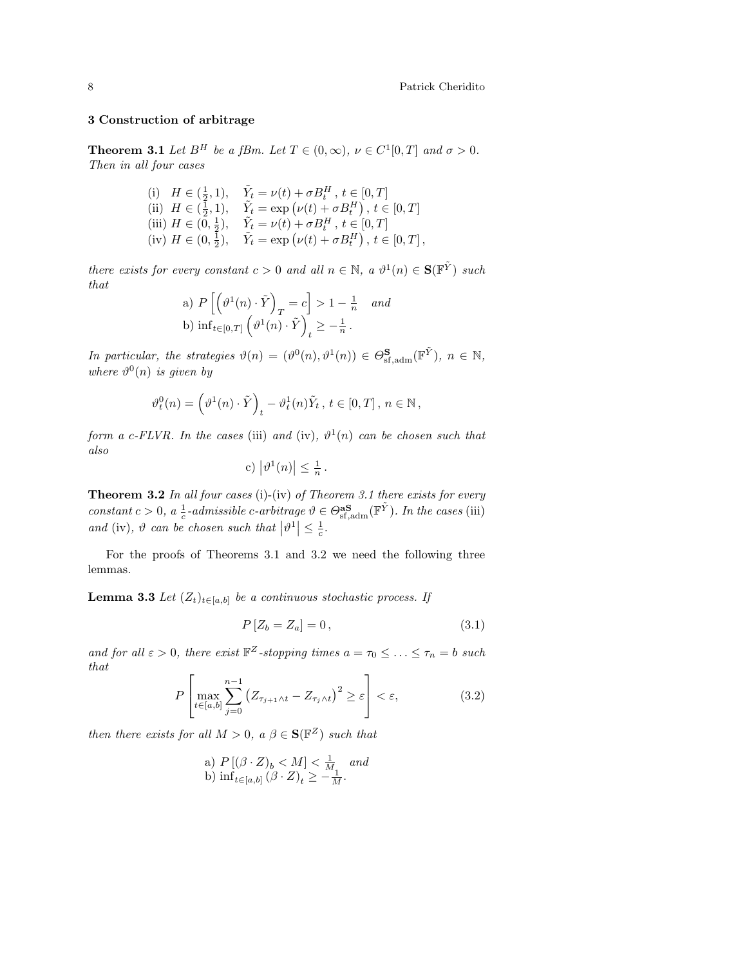## 3 Construction of arbitrage

**Theorem 3.1** Let  $B^H$  be a fBm. Let  $T \in (0, \infty)$ ,  $\nu \in C^1[0, T]$  and  $\sigma > 0$ . Then in all four cases

(i) 
$$
H \in (\frac{1}{2}, 1)
$$
,  $\tilde{Y}_t = \nu(t) + \sigma B_t^H$ ,  $t \in [0, T]$   
\n(ii)  $H \in (\frac{1}{2}, 1)$ ,  $\tilde{Y}_t = \exp(\nu(t) + \sigma B_t^H)$ ,  $t \in [0, T]$   
\n(iii)  $H \in (0, \frac{1}{2})$ ,  $\tilde{Y}_t = \nu(t) + \sigma B_t^H$ ,  $t \in [0, T]$   
\n(iv)  $H \in (0, \frac{1}{2})$ ,  $\tilde{Y}_t = \exp(\nu(t) + \sigma B_t^H)$ ,  $t \in [0, T]$ ,

there exists for every constant  $c > 0$  and all  $n \in \mathbb{N}$ , a  $\vartheta^1(n) \in \mathbf{S}(\mathbb{F}^{\tilde{Y}})$  such that  $\overline{h}$ ´ i

a) 
$$
P\left[\left(\vartheta^1(n) \cdot \tilde{Y}\right)_T = c\right] > 1 - \frac{1}{n}
$$
 and  
b)  $\inf_{t \in [0,T]} \left(\vartheta^1(n) \cdot \tilde{Y}\right)_t \geq -\frac{1}{n}$ .

In particular, the strategies  $\vartheta(n) = (\vartheta^0(n), \vartheta^1(n)) \in \Theta_{\text{sf,adm}}^{\mathbf{S}}(\mathbb{F}^{\tilde{Y}}), n \in \mathbb{N},$ where  $\vartheta^0(n)$  is given by

$$
\vartheta^0_t(n)=\left(\vartheta^1(n)\cdot \tilde{Y}\right)_t-\vartheta^1_t(n)\tilde{Y}_t\,,\,t\in[0,T]\,,\,n\in\mathbb{N}\,,
$$

form a c-FLVR. In the cases (iii) and (iv),  $\vartheta^1(n)$  can be chosen such that also  $\overline{a}$  $\overline{a}$ 

c) 
$$
|\vartheta^1(n)| \leq \frac{1}{n}
$$

.

**Theorem 3.2** In all four cases (i)-(iv) of Theorem 3.1 there exists for every constant  $c > 0$ ,  $a \frac{1}{c}$ -admissible c-arbitrage  $\vartheta \in \Theta_{\text{sf,adm}}^{\text{as}}(\mathbb{F}^{\tilde{Y}})$ . In the cases (iii) and (iv),  $\vartheta$  can be chosen such that  $|\vartheta^1| \leq \frac{1}{c}$ .

For the proofs of Theorems 3.1 and 3.2 we need the following three lemmas.

**Lemma 3.3** Let  $(Z_t)_{t \in [a,b]}$  be a continuous stochastic process. If

$$
P\left[Z_b = Z_a\right] = 0\,,\tag{3.1}
$$

and for all  $\varepsilon > 0$ , there exist  $\mathbb{F}^Z$ -stopping times  $a = \tau_0 \leq \ldots \leq \tau_n = b$  such that  $\overline{r}$  $\overline{a}$ 

$$
P\left[\max_{t\in[a,b]} \sum_{j=0}^{n-1} \left(Z_{\tau_{j+1}\wedge t} - Z_{\tau_j\wedge t}\right)^2 \ge \varepsilon\right] < \varepsilon,\tag{3.2}
$$

then there exists for all  $M > 0$ ,  $a \beta \in \mathbf{S}(\mathbb{F}^Z)$  such that

a) 
$$
P[(\beta \cdot Z)_b < M] < \frac{1}{M}
$$
 and  
b)  $\inf_{t \in [a,b]} (\beta \cdot Z)_t \ge -\frac{1}{M}$ .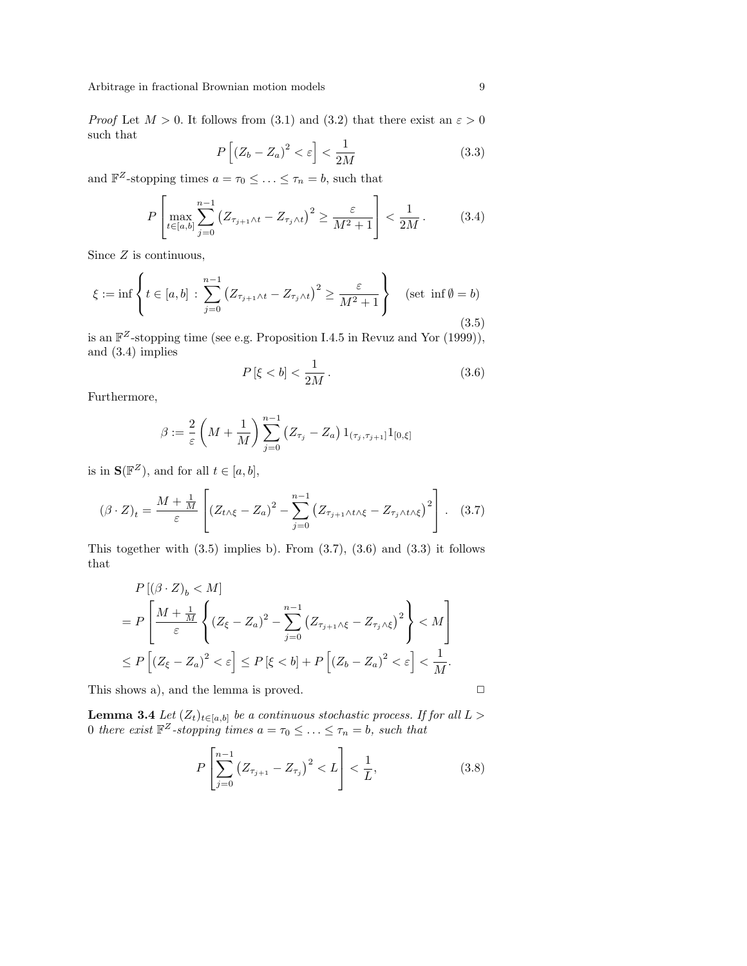*Proof* Let  $M > 0$ . It follows from (3.1) and (3.2) that there exist an  $\varepsilon > 0$ such that h

$$
P\left[\left(Z_b - Z_a\right)^2 < \varepsilon\right] < \frac{1}{2M} \tag{3.3}
$$

and  $\mathbb{F}^Z$ -stopping times  $a = \tau_0 \leq \ldots \leq \tau_n = b$ , such that

$$
P\left[\max_{t \in [a,b]} \sum_{j=0}^{n-1} (Z_{\tau_{j+1} \wedge t} - Z_{\tau_j \wedge t})^2 \ge \frac{\varepsilon}{M^2 + 1}\right] < \frac{1}{2M} \,. \tag{3.4}
$$

Since  $Z$  is continuous,

$$
\xi := \inf \left\{ t \in [a, b] : \sum_{j=0}^{n-1} \left( Z_{\tau_{j+1} \wedge t} - Z_{\tau_j \wedge t} \right)^2 \ge \frac{\varepsilon}{M^2 + 1} \right\} \quad (\text{set } \inf \emptyset = b)
$$
\n(3.5)

is an  $\mathbb{F}^Z$ -stopping time (see e.g. Proposition I.4.5 in Revuz and Yor (1999)), and (3.4) implies 1

$$
P\left[\xi < b\right] < \frac{1}{2M} \,. \tag{3.6}
$$

Furthermore,

$$
\beta := \frac{2}{\varepsilon} \left( M + \frac{1}{M} \right) \sum_{j=0}^{n-1} \left( Z_{\tau_j} - Z_a \right) 1_{(\tau_j, \tau_{j+1}]} 1_{[0, \xi]}
$$

is in  $\mathbf{S}(\mathbb{F}^Z)$ , and for all  $t \in [a, b]$ ,

$$
\left(\beta \cdot Z\right)_t = \frac{M + \frac{1}{M}}{\varepsilon} \left[ \left(Z_{t \wedge \xi} - Z_a\right)^2 - \sum_{j=0}^{n-1} \left(Z_{\tau_{j+1} \wedge t \wedge \xi} - Z_{\tau_j \wedge t \wedge \xi}\right)^2 \right].
$$
 (3.7)

This together with  $(3.5)$  implies b). From  $(3.7)$ ,  $(3.6)$  and  $(3.3)$  it follows that

$$
P[(\beta \cdot Z)_b < M]
$$
\n
$$
= P\left[\frac{M + \frac{1}{M}}{\varepsilon} \left\{ (Z_{\xi} - Z_a)^2 - \sum_{j=0}^{n-1} (Z_{\tau_{j+1}} \wedge \xi - Z_{\tau_j} \wedge \xi)^2 \right\} < M \right]
$$
\n
$$
\leq P\left[ (Z_{\xi} - Z_a)^2 < \varepsilon \right] \leq P\left[ (\xi < b) + P\left[ (Z_b - Z_a)^2 < \varepsilon \right] < \frac{1}{M} \right].
$$

This shows a), and the lemma is proved.

$$
\Box
$$

**Lemma 3.4** Let  $(Z_t)_{t \in [a,b]}$  be a continuous stochastic process. If for all  $L >$ 0 there exist  $\mathbb{F}^Z$ -stopping times  $a = \tau_0 \leq \ldots \leq \tau_n = b$ , such that

$$
P\left[\sum_{j=0}^{n-1} (Z_{\tau_{j+1}} - Z_{\tau_j})^2 < L\right] < \frac{1}{L},\tag{3.8}
$$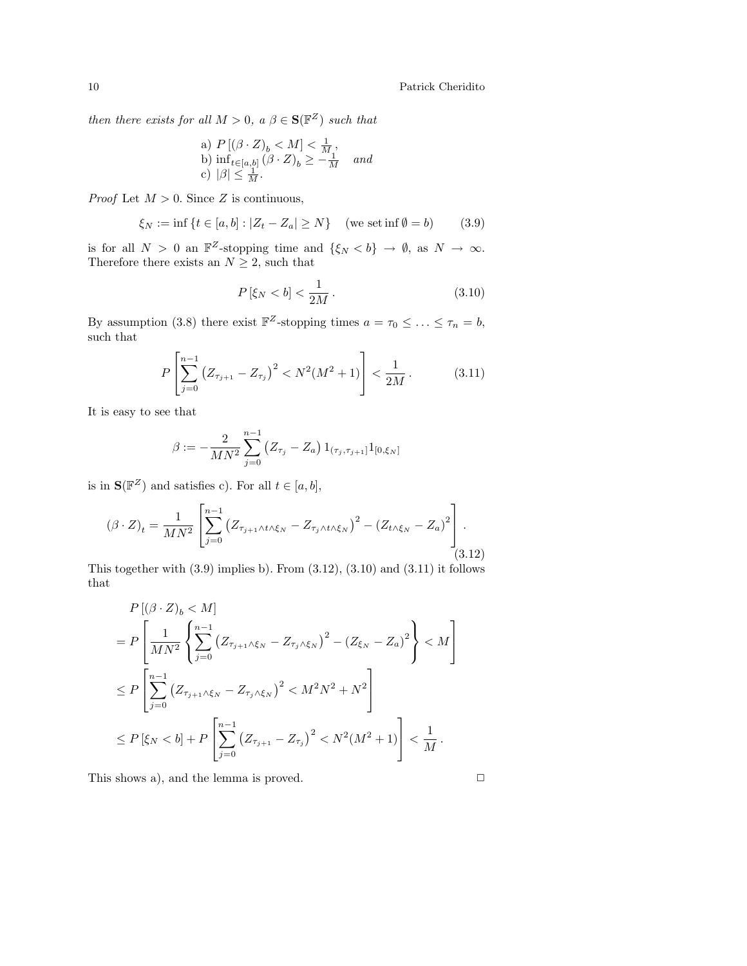then there exists for all  $M > 0$ ,  $a \beta \in \mathbf{S}(\mathbb{F}^Z)$  such that

a) 
$$
P[(\beta \cdot Z)_b < M] < \frac{1}{M}
$$
,  
b)  $\inf_{t \in [a,b]} (\beta \cdot Z)_b \ge -\frac{1}{M}$  and  
c)  $|\beta| \le \frac{1}{M}$ .

*Proof* Let  $M > 0$ . Since Z is continuous,

$$
\xi_N := \inf \{ t \in [a, b] : |Z_t - Z_a| \ge N \} \quad (\text{we set in } \emptyset = b) \tag{3.9}
$$

is for all  $N > 0$  an  $\mathbb{F}^Z$ -stopping time and  $\{\xi_N < b\} \to \emptyset$ , as  $N \to \infty$ . Therefore there exists an  $N \geq 2$ , such that

$$
P\left[\xi_N < b\right] < \frac{1}{2M} \,. \tag{3.10}
$$

By assumption (3.8) there exist  $\mathbb{F}^Z$ -stopping times  $a = \tau_0 \leq \ldots \leq \tau_n = b$ , such that

$$
P\left[\sum_{j=0}^{n-1} \left(Z_{\tau_{j+1}} - Z_{\tau_j}\right)^2 < N^2(M^2 + 1)\right] < \frac{1}{2M} \,. \tag{3.11}
$$

It is easy to see that

$$
\beta := -\frac{2}{MN^2} \sum_{j=0}^{n-1} (Z_{\tau_j} - Z_a) 1_{(\tau_j, \tau_{j+1}]} 1_{[0, \xi_N]}
$$

is in  $\mathbf{S}(\mathbb{F}^Z)$  and satisfies c). For all  $t \in [a, b]$ ,

$$
(\beta \cdot Z)_t = \frac{1}{MN^2} \left[ \sum_{j=0}^{n-1} (Z_{\tau_{j+1} \wedge t \wedge \xi_N} - Z_{\tau_j \wedge t \wedge \xi_N})^2 - (Z_{t \wedge \xi_N} - Z_a)^2 \right].
$$
\n(3.12)

This together with (3.9) implies b). From (3.12), (3.10) and (3.11) it follows that

$$
P[(\beta \cdot Z)_b < M]
$$
  
=  $P\left[\frac{1}{MN^2} \left\{ \sum_{j=0}^{n-1} (Z_{\tau_{j+1}\wedge\xi_N} - Z_{\tau_j\wedge\xi_N})^2 - (Z_{\xi_N} - Z_a)^2 \right\} < M \right]$   
 $\leq P\left[\sum_{j=0}^{n-1} (Z_{\tau_{j+1}\wedge\xi_N} - Z_{\tau_j\wedge\xi_N})^2 < M^2N^2 + N^2 \right]$   
 $\leq P[\xi_N < b] + P\left[\sum_{j=0}^{n-1} (Z_{\tau_{j+1}} - Z_{\tau_j})^2 < N^2(M^2 + 1) \right] < \frac{1}{M}.$ 

This shows a), and the lemma is proved.

$$
\Box
$$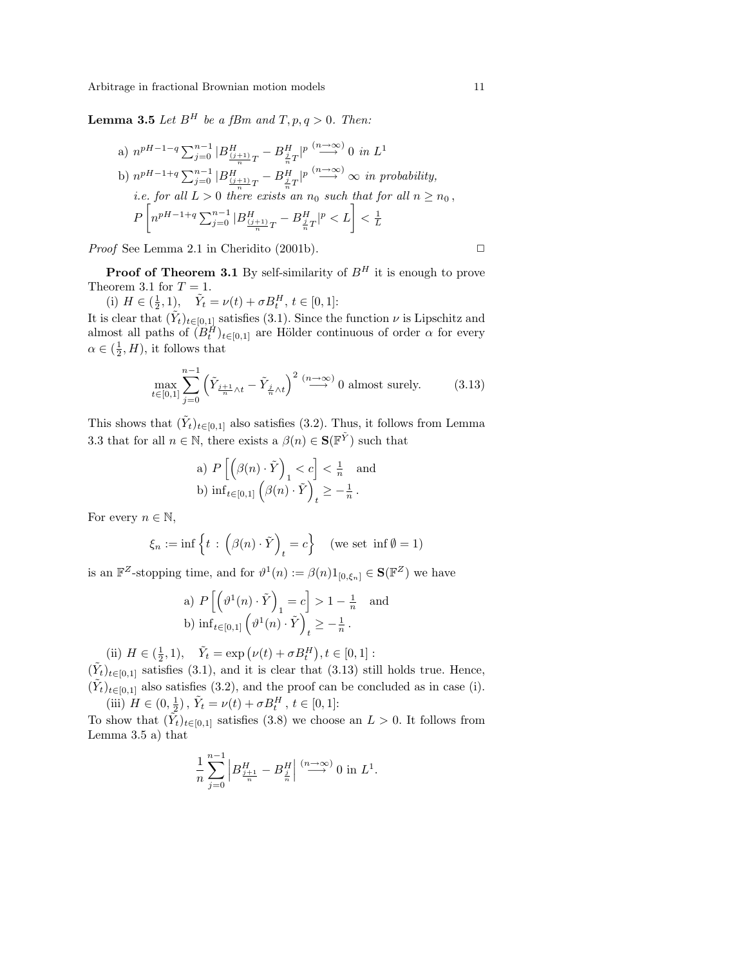**Lemma 3.5** Let  $B^H$  be a fBm and  $T, p, q > 0$ . Then:

a) 
$$
n^{pH-1-q} \sum_{j=0}^{n-1} |B_{\frac{(j+1)}{n}T}^H - B_{\frac{j}{n}T}^H|^{p} \xrightarrow{(n \to \infty)} 0
$$
 in  $L^1$   
b)  $n^{pH-1+q} \sum_{j=0}^{n-1} |B_{\frac{(j+1)}{n}T}^H - B_{\frac{j}{n}T}^H|^{p} \xrightarrow{(n \to \infty)} \infty$  in probability,  
i.e. for all  $L > 0$  there exists an  $n_0$  such that for all  $n \ge n_0$ ,  
 $P\left[n^{pH-1+q} \sum_{j=0}^{n-1} |B_{\frac{(j+1)}{n}T}^H - B_{\frac{j}{n}T}^H|^{p} < L\right] < \frac{1}{L}$ 

*Proof* See Lemma 2.1 in Cheridito (2001b).  $\Box$ 

**Proof of Theorem 3.1** By self-similarity of  $B<sup>H</sup>$  it is enough to prove Theorem 3.1 for  $T = 1$ .

(i)  $H \in (\frac{1}{2}, 1), \quad \tilde{Y}_t = \nu(t) + \sigma B_t^H, t \in [0, 1]$ :

It is clear that  $(\tilde{Y}_t)_{t\in[0,1]}$  satisfies (3.1). Since the function  $\nu$  is Lipschitz and almost all paths of  $(B_t^H)_{t \in [0,1]}$  are Hölder continuous of order  $\alpha$  for every  $\alpha \in (\frac{1}{2}, H)$ , it follows that

$$
\max_{t \in [0,1]} \sum_{j=0}^{n-1} \left( \tilde{Y}_{\frac{j+1}{n}\wedge t} - \tilde{Y}_{\frac{j}{n}\wedge t} \right)^2 \stackrel{(n \to \infty)}{\longrightarrow} 0 \text{ almost surely.} \tag{3.13}
$$

This shows that  $(\tilde{Y}_t)_{t\in[0,1]}$  also satisfies (3.2). Thus, it follows from Lemma 3.3 that for all  $n \in \mathbb{N}$ , there exists a  $\beta(n) \in \mathbf{S}(\mathbb{F}^{\tilde{Y}})$  such that

a) 
$$
P\left[\left(\beta(n) \cdot \tilde{Y}\right)_1 < c\right] < \frac{1}{n}
$$
 and  
b)  $\inf_{t \in [0,1]} \left(\beta(n) \cdot \tilde{Y}\right)_t \geq -\frac{1}{n}$ .

For every  $n \in \mathbb{N}$ ,

$$
\xi_n := \inf \left\{ t \, : \, \left( \beta(n) \cdot \tilde{Y} \right)_t = c \right\} \quad \text{(we set } \inf \emptyset = 1)
$$

is an  $\mathbb{F}^Z$ -stopping time, and for  $\vartheta^1(n) := \beta(n)1_{[0,\xi_n]} \in \mathbf{S}(\mathbb{F}^Z)$  we have

a) 
$$
P\left[\left(\vartheta^1(n)\cdot \tilde{Y}\right)_1 = c\right] > 1 - \frac{1}{n}
$$
 and  
b)  $\inf_{t\in[0,1]} \left(\vartheta^1(n)\cdot \tilde{Y}\right)_t \geq -\frac{1}{n}$ .

(ii)  $H \in (\frac{1}{2}, 1), \quad \tilde{Y}_t = \exp(\nu(t) + \sigma B_t^H)$ ¢  $, t \in [0, 1]:$ 

 $(\tilde{Y}_t)_{t\in[0,1]}$  satisfies (3.1), and it is clear that (3.13) still holds true. Hence,  $(\tilde{Y}_t)_{t\in[0,1]}$  also satisfies (3.2), and the proof can be concluded as in case (i). (iii)  $H \in (0, \frac{1}{2})$ ,  $\tilde{Y}_t = \nu(t) + \sigma B_t^H$ ,  $t \in [0, 1]$ :

To show that  $(\tilde{Y}_t)_{t\in[0,1]}$  satisfies (3.8) we choose an  $L>0$ . It follows from Lemma 3.5 a) that

$$
\frac{1}{n}\sum_{j=0}^{n-1}\left|B_{\frac{j+1}{n}}^H-B_{\frac{j}{n}}^H\right|\stackrel{(n\to\infty)}{\longrightarrow}0\text{ in }L^1.
$$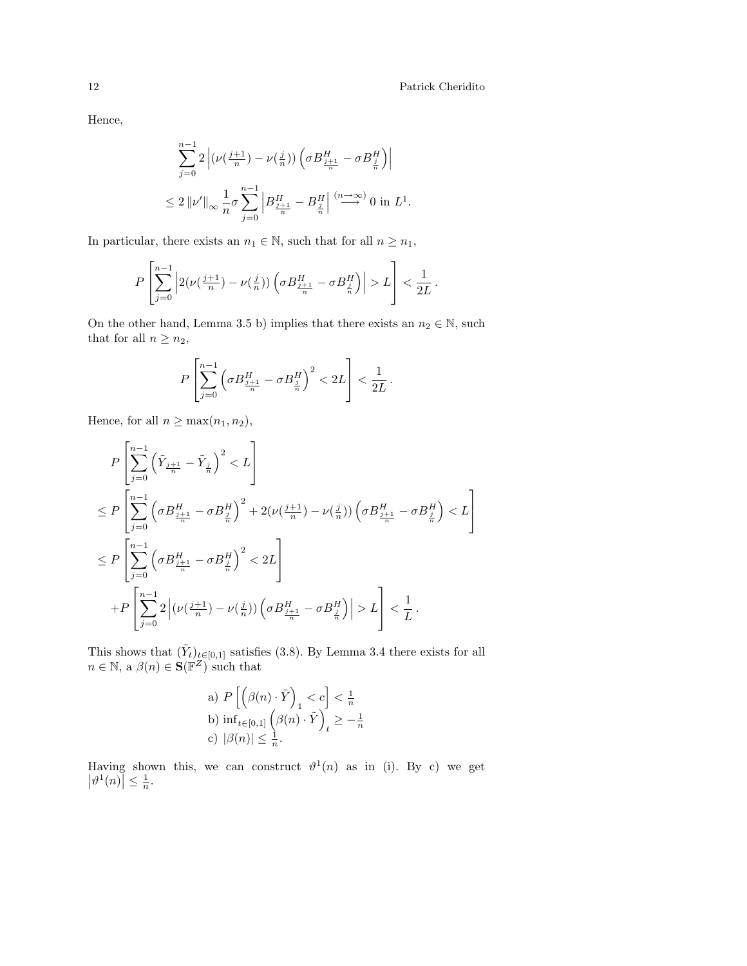## 12 Patrick Cheridito

 $\overline{a}$ 

Hence,

$$
\begin{split} &\sum_{j=0}^{n-1}2\left|(\nu\big(\tfrac{j+1}{n}\big)-\nu\big(\tfrac{j}{n}\big)\big)\left(\sigma B_{\frac{j+1}{n}}^H-\sigma B_{\frac{j}{n}}^H\right)\right|\\ &\leq 2\left\|\nu'\right\|_\infty\frac{1}{n}\sigma\sum_{j=0}^{n-1}\left|B_{\frac{j+1}{n}}^H-B_{\frac{j}{n}}^H\right|\overset{(n\to\infty)}{\longrightarrow}0\text{ in }L^1. \end{split}
$$

In particular, there exists an  $n_1 \in \mathbb{N}$ , such that for all  $n \geq n_1$ ,

$$
P\left[\sum_{j=0}^{n-1}\left|2(\nu\big(\tfrac{j+1}{n}\big)-\nu\big(\tfrac{j}{n}\big)\big)\left(\sigma B_{\frac{j+1}{n}}^H-\sigma B_{\frac{j}{n}}^H\right)\right|>L\right]<\frac{1}{2L}\,.
$$

On the other hand, Lemma 3.5 b) implies that there exists an  $n_2 \in \mathbb{N}$ , such that for all  $n \geq n_2$ ,

$$
P\left[\sum_{j=0}^{n-1}\left(\sigma B_{\frac{j+1}{n}}^H-\sigma B_{\frac{j}{n}}^H\right)^2<2L\right]<\frac{1}{2L}\,.
$$

Hence, for all  $n \geq \max(n_1, n_2)$ ,

$$
\label{eq:3.13} \begin{split} &P\left[\sum_{j=0}^{n-1}\left(\tilde{Y}_{\frac{j+1}{n}}-\tilde{Y}_{\frac{j}{n}}\right)^2 < L\right]\\ &\leq P\left[\sum_{j=0}^{n-1}\left(\sigma B_{\frac{j+1}{n}}^H-\sigma B_{\frac{j}{n}}^H\right)^2+2\big(\nu\big(\frac{j+1}{n}\big)-\nu\big(\frac{j}{n}\big)\big)\left(\sigma B_{\frac{j+1}{n}}^H-\sigma B_{\frac{j}{n}}^H\right)< L\right]\\ &\leq P\left[\sum_{j=0}^{n-1}\left(\sigma B_{\frac{j+1}{n}}^H-\sigma B_{\frac{j}{n}}^H\right)^2 < 2 L\right]\\ &+P\left[\sum_{j=0}^{n-1}2\left|\big(\nu\big(\frac{j+1}{n}\big)-\nu\big(\frac{j}{n}\big)\big)\left(\sigma B_{\frac{j+1}{n}}^H-\sigma B_{\frac{j}{n}}^H\right)\right| > L\right]<\frac{1}{L}\,. \end{split}
$$

This shows that  $(\tilde{Y}_t)_{t\in[0,1]}$  satisfies (3.8). By Lemma 3.4 there exists for all  $n \in \mathbb{N}$ , a  $\beta(n) \in \mathbf{S}(\mathbb{F}^Z)$  such that

a) 
$$
P\left[\left(\beta(n) \cdot \tilde{Y}\right)_1 < c\right] < \frac{1}{n}
$$
  
\nb)  $\inf_{t \in [0,1]} \left(\beta(n) \cdot \tilde{Y}\right)_t \geq -\frac{1}{n}$   
\nc)  $|\beta(n)| \leq \frac{1}{n}$ .

Having shown this, we can construct  $\vartheta^1(n)$  as in (i). By c) we get  $|\vartheta^1(n)| \leq \frac{1}{n}.$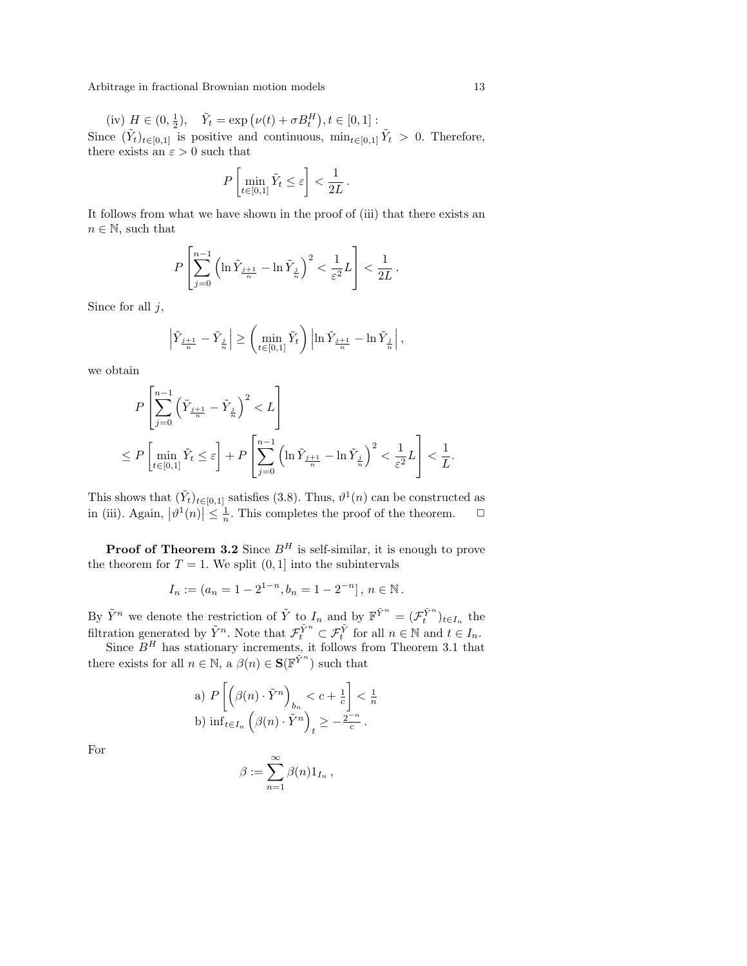(iv) 
$$
H \in (0, \frac{1}{2}), \quad \tilde{Y}_t = \exp(\nu(t) + \sigma B_t^H), t \in [0, 1]
$$
:

Since  $(\tilde{Y}_t)_{t\in[0,1]}$  is positive and continuous,  $\min_{t\in[0,1]}\tilde{Y}_t > 0$ . Therefore, there exists an  $\varepsilon > 0$  such that

$$
P\left[\min_{t\in[0,1]}\tilde{Y}_t\leq \varepsilon\right]<\frac{1}{2L}.
$$

It follows from what we have shown in the proof of (iii) that there exists an  $n \in \mathbb{N}$ , such that

$$
P\left[\sum_{j=0}^{n-1} \left(\ln \tilde{Y}_{\frac{j+1}{n}} - \ln \tilde{Y}_{\frac{j}{n}}\right)^2 < \frac{1}{\varepsilon^2} L\right] < \frac{1}{2L}
$$

.

Since for all  $j$ ,

$$
\left|\tilde{Y}_{\frac{j+1}{n}}-\tilde{Y}_{\frac{j}{n}}\right|\geq\left(\min_{t\in[0,1]}\tilde{Y}_{t}\right)\left|\ln\tilde{Y}_{\frac{j+1}{n}}-\ln\tilde{Y}_{\frac{j}{n}}\right|,
$$

we obtain

$$
\label{eq:3.1} \begin{split} &P\left[\sum_{j=0}^{n-1}\Big(\tilde{Y}_{\frac{j+1}{n}}-\tilde{Y}_{\frac{j}{n}}\Big)^2 < L\right]\\ &\leq P\left[\min_{t\in[0,1]}\tilde{Y}_t\leq \varepsilon\right]+P\left[\sum_{j=0}^{n-1}\Big(\ln \tilde{Y}_{\frac{j+1}{n}}-\ln \tilde{Y}_{\frac{j}{n}}\Big)^2 < \frac{1}{\varepsilon^2}L\right]<\frac{1}{L}. \end{split}
$$

This shows that  $(\tilde{Y}_t)_{t \in [0,1]}$  satisfies (3.8). Thus,  $\vartheta^1(n)$  can be constructed as in (iii). Again,  $\begin{vmatrix} 1 & t \end{vmatrix}$  $\epsilon$ [0,1] sausiles (5.8). Thus,  $v$  (*n*) can be constructed as  $\vert \leq \frac{1}{n}$ . This completes the proof of the theorem.  $\Box$ 

**Proof of Theorem 3.2** Since  $B<sup>H</sup>$  is self-similar, it is enough to prove the theorem for  $T = 1$ . We split  $(0, 1]$  into the subintervals

$$
I_n := (a_n = 1 - 2^{1-n}, b_n = 1 - 2^{-n}], n \in \mathbb{N}.
$$

By  $\tilde{Y}^n$  we denote the restriction of  $\tilde{Y}$  to  $I_n$  and by  $\mathbb{F}^{\tilde{Y}^n} = (\mathcal{F}^{\tilde{Y}^n}_t)_{t \in I_n}$  the filtration generated by  $\tilde{Y}^n$ . Note that  $\mathcal{F}_t^{\tilde{Y}^n} \subset \mathcal{F}_t^{\tilde{Y}}$  for all  $n \in \mathbb{N}$  and  $t \in I_n$ .

Since  $B<sup>H</sup>$  has stationary increments, it follows from Theorem 3.1 that there exists for all  $n \in \mathbb{N}$ ,  $\hat{A}(\theta(n) \in \mathbf{S}(\mathbb{F}^{\tilde{Y}^n})$  such that

a) 
$$
P\left[\left(\beta(n) \cdot \tilde{Y}^n\right)_{b_n} < c + \frac{1}{c}\right] < \frac{1}{n}
$$
  
b)  $\inf_{t \in I_n} \left(\beta(n) \cdot \tilde{Y}^n\right)_t \ge -\frac{2^{-n}}{c}$ .

For

$$
\beta := \sum_{n=1}^{\infty} \beta(n) 1_{I_n},
$$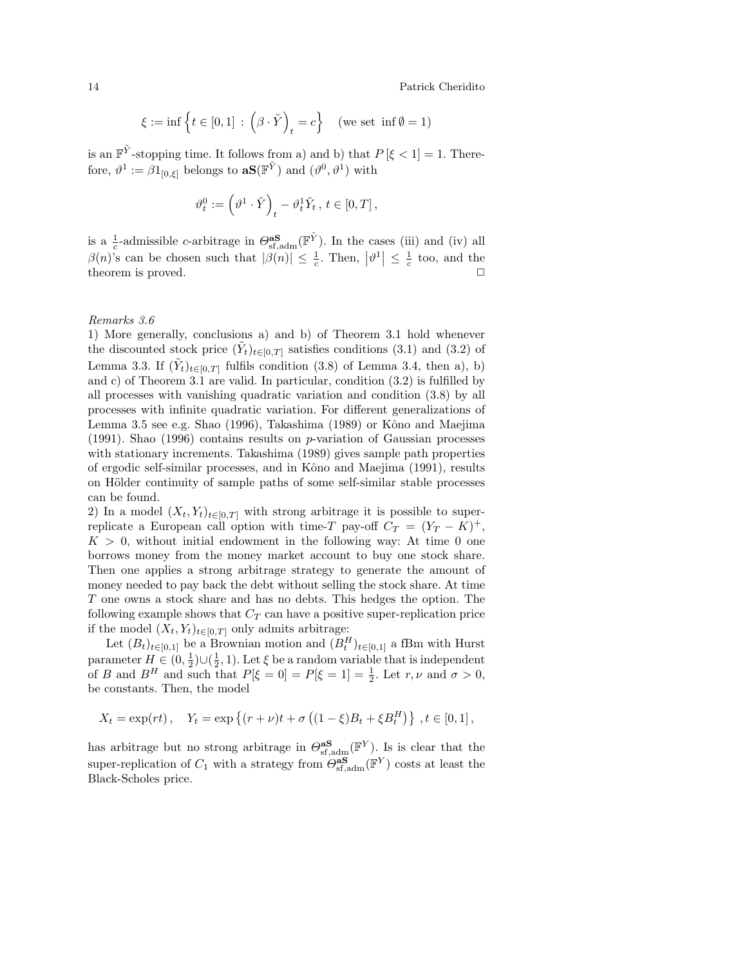14 Patrick Cheridito

$$
\xi := \inf \left\{ t \in [0,1] \, : \, \left( \beta \cdot \tilde{Y} \right)_t = c \right\} \quad (\text{we set } \inf \emptyset = 1)
$$

is an  $\mathbb{F}^{\tilde{Y}}$ -stopping time. It follows from a) and b) that  $P[\xi < 1] = 1$ . Therefore,  $\vartheta^1 := \beta 1_{[0,\xi]}$  belongs to  $\mathbf{aS}(\mathbb{F}^{\tilde{Y}})$  and  $(\vartheta^0, \vartheta^1)$  with

$$
\vartheta_t^0 := \left(\vartheta^1\cdot \tilde{Y}\right)_t - \vartheta_t^1 \tilde{Y}_t\,,\, t\in [0,T]\,,
$$

is a  $\frac{1}{c}$ -admissible c-arbitrage in  $\Theta_{\text{sf,adm}}^{\text{as}}(\mathbb{F}^{\tilde{Y}})$ . In the cases (iii) and (iv) all  $\beta(n)$ 's can be chosen such that  $|\beta(n)| \leq \frac{1}{c}$ . Then,  $|\vartheta^1| \leq \frac{1}{c}$  too, and the theorem is proved.

### Remarks 3.6

1) More generally, conclusions a) and b) of Theorem 3.1 hold whenever the discounted stock price  $(\tilde{Y}_t)_{t\in[0,T]}$  satisfies conditions (3.1) and (3.2) of Lemma 3.3. If  $(\tilde{Y}_t)_{t\in[0,T]}$  fulfils condition (3.8) of Lemma 3.4, then a), b) and c) of Theorem 3.1 are valid. In particular, condition (3.2) is fulfilled by all processes with vanishing quadratic variation and condition (3.8) by all processes with infinite quadratic variation. For different generalizations of Lemma 3.5 see e.g. Shao  $(1996)$ , Takashima  $(1989)$  or Kôno and Maejima (1991). Shao (1996) contains results on  $p$ -variation of Gaussian processes with stationary increments. Takashima (1989) gives sample path properties of ergodic self-similar processes, and in Kôno and Maejima (1991), results on Hölder continuity of sample paths of some self-similar stable processes can be found.

2) In a model  $(X_t, Y_t)_{t \in [0,T]}$  with strong arbitrage it is possible to superreplicate a European call option with time-T pay-off  $C_T = (Y_T - K)^+$ ,  $K > 0$ , without initial endowment in the following way: At time 0 one borrows money from the money market account to buy one stock share. Then one applies a strong arbitrage strategy to generate the amount of money needed to pay back the debt without selling the stock share. At time T one owns a stock share and has no debts. This hedges the option. The following example shows that  $C_T$  can have a positive super-replication price if the model  $(X_t, Y_t)_{t \in [0,T]}$  only admits arbitrage:

Let  $(B_t)_{t\in[0,1]}$  be a Brownian motion and  $(B_t^H)_{t\in[0,1]}$  a fBm with Hurst parameter  $H \in (0, \frac{1}{2}) \cup (\frac{1}{2}, 1)$ . Let  $\xi$  be a random variable that is independent of B and  $B^H$  and such that  $P[\xi = 0] = P[\xi = 1] = \frac{1}{2}$ . Let  $r, \nu$  and  $\sigma > 0$ , be constants. Then, the model

$$
X_t = \exp(rt),
$$
  $Y_t = \exp \{(r + \nu)t + \sigma ((1 - \xi)B_t + \xi B_t^H)\}, t \in [0, 1],$ 

has arbitrage but no strong arbitrage in  $\Theta_{\text{sf,adm}}^{\text{as}}(\mathbb{F}^Y)$ . Is is clear that the super-replication of  $C_1$  with a strategy from  $\Theta_{\text{sf,adm}}^{\text{as}}(\mathbb{F}^Y)$  costs at least the Black-Scholes price.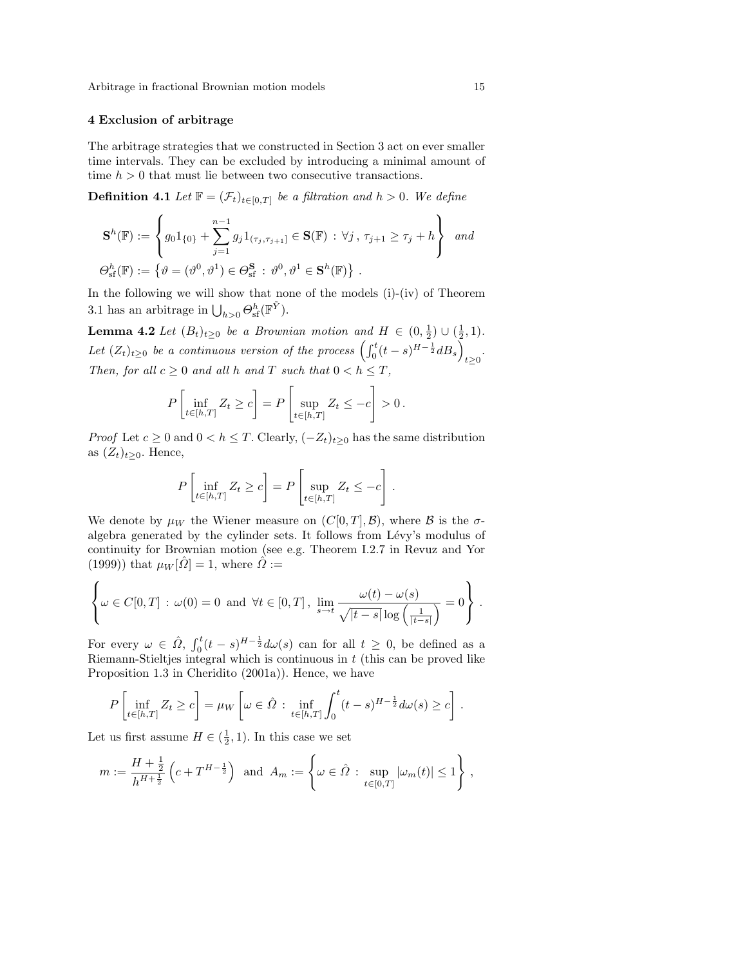### 4 Exclusion of arbitrage

The arbitrage strategies that we constructed in Section 3 act on ever smaller time intervals. They can be excluded by introducing a minimal amount of time  $h > 0$  that must lie between two consecutive transactions.

**Definition 4.1** Let  $\mathbb{F} = (\mathcal{F}_t)_{t \in [0,T]}$  be a filtration and  $h > 0$ . We define

$$
\mathbf{S}^{h}(\mathbb{F}) := \left\{ g_0 1_{\{0\}} + \sum_{j=1}^{n-1} g_j 1_{(\tau_j, \tau_{j+1}]} \in \mathbf{S}(\mathbb{F}) : \forall j, \, \tau_{j+1} \ge \tau_j + h \right\} \text{ and}
$$
  

$$
\Theta_{\mathrm{sf}}^{h}(\mathbb{F}) := \left\{ \vartheta = (\vartheta^0, \vartheta^1) \in \Theta_{\mathrm{sf}}^{\mathbf{S}} : \vartheta^0, \vartheta^1 \in \mathbf{S}^{h}(\mathbb{F}) \right\}.
$$

In the following we will show that none of the models  $(i)-(iv)$  of Theorem 3.1 has an arbitrage in  $\bigcup_{h>0} \Theta_{\text{sf}}^h(\mathbb{F}^{\tilde{Y}})$ .

**Lemma 4.2** Let  $(B_t)_{t\geq0}$  be a Brownian motion and  $H \in (0, \frac{1}{2}) \cup (\frac{1}{2}, 1)$ . Let  $(Z_t)_{t\geq0}$  be a continuous version of the process  $\left(\int_0^t (t-s)^{H-\frac{1}{2}}dB_s\right)_{t\geq0}$ . Then, for all  $c \geq 0$  and all h and T such that  $0 < h \leq T$ , " #

$$
P\left[\inf_{t\in[h,T]} Z_t \ge c\right] = P\left[\sup_{t\in[h,T]} Z_t \le -c\right] > 0.
$$

*Proof* Let  $c \geq 0$  and  $0 < h \leq T$ . Clearly,  $(-Z_t)_{t \geq 0}$  has the same distribution as  $(Z_t)_{t>0}$ . Hence,

$$
P\left[\inf_{t\in[h,T]} Z_t \ge c\right] = P\left[\sup_{t\in[h,T]} Z_t \le -c\right].
$$

We denote by  $\mu_W$  the Wiener measure on  $(C[0,T], \mathcal{B})$ , where  $\mathcal B$  is the  $\sigma$ algebra generated by the cylinder sets. It follows from Lévy's modulus of continuity for Brownian motion (see e.g. Theorem I.2.7 in Revuz and Yor (1999)) that  $\mu_W[\hat{\Omega}] = 1$ , where  $\hat{\Omega}$  :=

$$
\left\{\omega \in C[0,T] : \omega(0) = 0 \text{ and } \forall t \in [0,T], \lim_{s \to t} \frac{\omega(t) - \omega(s)}{\sqrt{|t-s|} \log\left(\frac{1}{|t-s|}\right)} = 0\right\}.
$$

For every  $\omega \in \hat{\Omega}$ ,  $\int_0^t$  $\int_0^t (t-s)^{H-\frac{1}{2}} d\omega(s)$  can for all  $t \geq 0$ , be defined as a Riemann-Stieltjes integral which is continuous in t (this can be proved like Proposition 1.3 in Cheridito (2001a)). Hence, we have

$$
P\left[\inf_{t\in[h,T]} Z_t \ge c\right] = \mu_W\left[\omega \in \hat{\Omega} : \inf_{t\in[h,T]} \int_0^t (t-s)^{H-\frac{1}{2}} d\omega(s) \ge c\right].
$$

Let us first assume  $H \in (\frac{1}{2}, 1)$ . In this case we set

$$
m := \frac{H + \frac{1}{2}}{h^{H + \frac{1}{2}}} \left( c + T^{H - \frac{1}{2}} \right) \text{ and } A_m := \left\{ \omega \in \hat{\Omega} : \sup_{t \in [0, T]} |\omega_m(t)| \le 1 \right\},\,
$$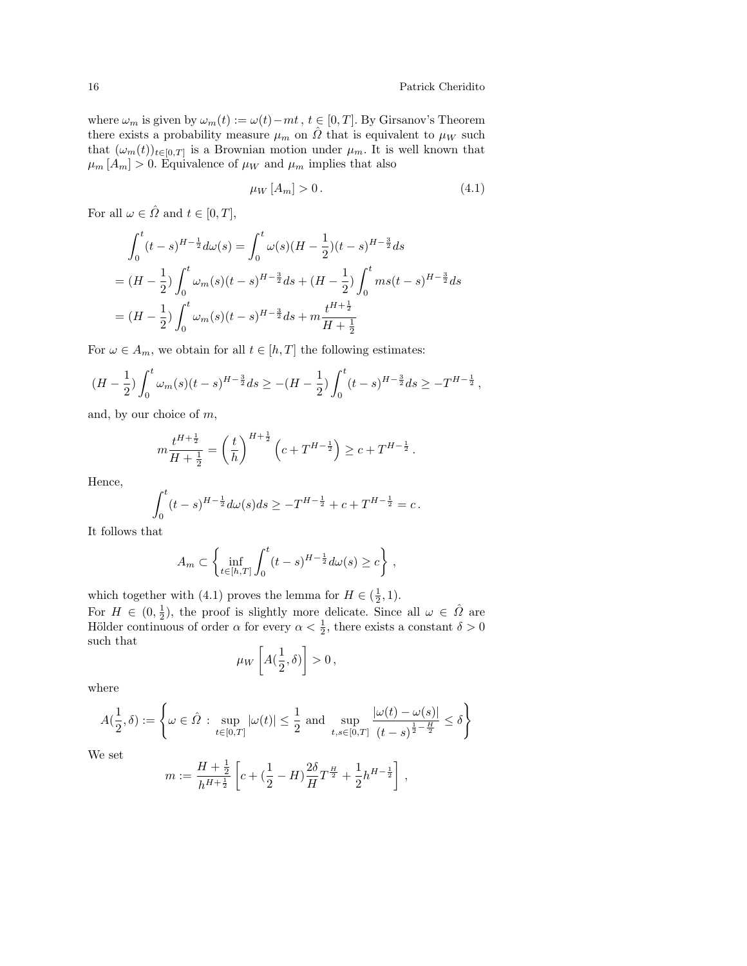where  $\omega_m$  is given by  $\omega_m(t) := \omega(t) - mt$ ,  $t \in [0, T]$ . By Girsanov's Theorem there exists a probability measure  $\mu_m$  on  $\hat{\Omega}$  that is equivalent to  $\mu_W$  such that  $(\omega_m(t))_{t\in[0,T]}$  is a Brownian motion under  $\mu_m$ . It is well known that  $\mu_m$  [A<sub>m</sub>] > 0. Equivalence of  $\mu_W$  and  $\mu_m$  implies that also

$$
\mu_W[A_m] > 0. \tag{4.1}
$$

For all  $\omega \in \hat{\Omega}$  and  $t \in [0, T]$ ,

$$
\int_0^t (t-s)^{H-\frac{1}{2}} d\omega(s) = \int_0^t \omega(s) (H - \frac{1}{2}) (t-s)^{H-\frac{3}{2}} ds
$$
  
=  $(H - \frac{1}{2}) \int_0^t \omega_m(s) (t-s)^{H-\frac{3}{2}} ds + (H - \frac{1}{2}) \int_0^t m s (t-s)^{H-\frac{3}{2}} ds$   
=  $(H - \frac{1}{2}) \int_0^t \omega_m(s) (t-s)^{H-\frac{3}{2}} ds + m \frac{t^{H+\frac{1}{2}}}{H+\frac{1}{2}}$ 

For  $\omega \in A_m$ , we obtain for all  $t \in [h, T]$  the following estimates:

$$
(H - \frac{1}{2}) \int_0^t \omega_m(s) (t - s)^{H - \frac{3}{2}} ds \ge -(H - \frac{1}{2}) \int_0^t (t - s)^{H - \frac{3}{2}} ds \ge -T^{H - \frac{1}{2}},
$$

and, by our choice of m,

$$
m\frac{t^{H+\frac{1}{2}}}{H+\frac{1}{2}}=\left(\frac{t}{h}\right)^{H+\frac{1}{2}}\left(c+T^{H-\frac{1}{2}}\right)\geq c+T^{H-\frac{1}{2}}\,.
$$

Hence,

$$
\int_0^t (t-s)^{H-\frac{1}{2}} d\omega(s) ds \ge -T^{H-\frac{1}{2}} + c + T^{H-\frac{1}{2}} = c.
$$

It follows that

$$
A_m \subset \left\{ \inf_{t \in [h,T]} \int_0^t (t-s)^{H-\frac{1}{2}} d\omega(s) \ge c \right\},\,
$$

which together with (4.1) proves the lemma for  $H \in (\frac{1}{2}, 1)$ . For  $H \in (0, \frac{1}{2})$ , the proof is slightly more delicate. Since all  $\omega \in \hat{\Omega}$  are Hölder continuous of order  $\alpha$  for every  $\alpha < \frac{1}{2}$ , there exists a constant  $\delta > 0$ such that ·  $\overline{a}$ 

$$
\mu_W\left[A(\frac{1}{2},\delta)\right]>0\,,
$$

where

$$
A(\frac{1}{2},\delta):=\left\{\omega\in\hat{\varOmega}: \sup_{t\in[0,T]}|\omega(t)|\leq\frac{1}{2} \text{ and } \sup_{t,s\in[0,T]} \frac{|\omega(t)-\omega(s)|}{(t-s)^{\frac{1}{2}-\frac{H}{2}}}\leq\delta\right\}
$$

We set

$$
m:=\frac{H+\frac{1}{2}}{h^{H+\frac{1}{2}}}\left[c+\big(\frac{1}{2}-H\big)\frac{2\delta}{H}T^{\frac{H}{2}}+\frac{1}{2}h^{H-\frac{1}{2}}\right]\,,
$$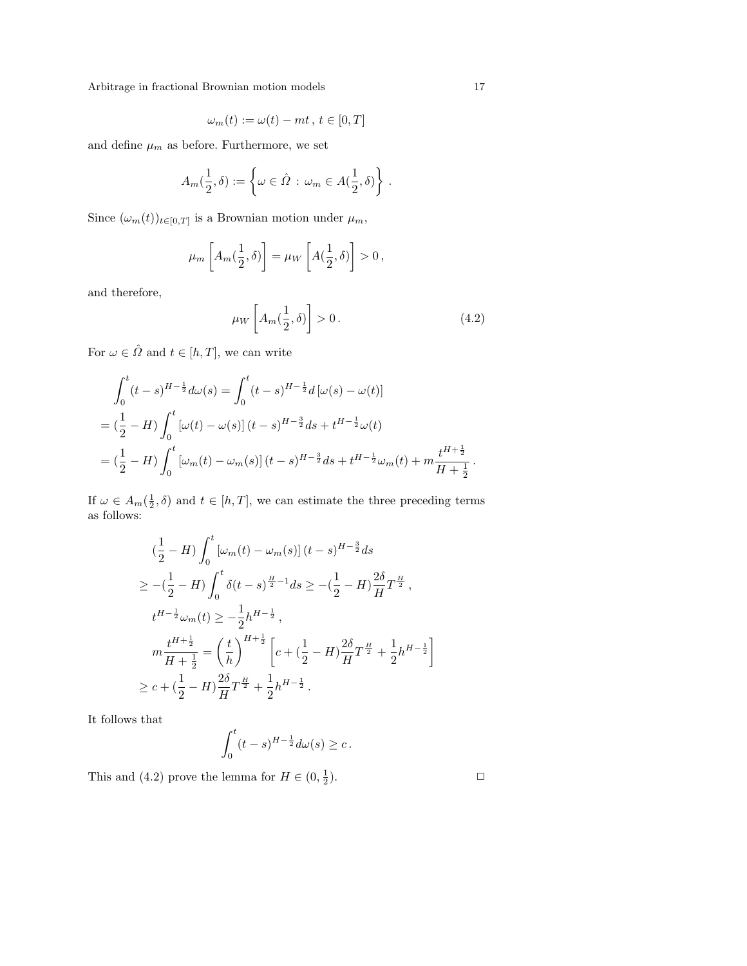$$
\omega_m(t) := \omega(t) - mt, \, t \in [0, T]
$$

and define  $\mu_m$  as before. Furthermore, we set

$$
A_m(\frac{1}{2},\delta) := \left\{ \omega \in \hat{\Omega} \, : \, \omega_m \in A(\frac{1}{2},\delta) \right\} \, .
$$

Since  $(\omega_m(t))_{t\in[0,T]}$  is a Brownian motion under  $\mu_m$ ,

$$
\mu_m\left[A_m(\frac{1}{2},\delta)\right] = \mu_W\left[A(\frac{1}{2},\delta)\right] > 0,
$$

and therefore,

$$
\mu_W\left[A_m(\frac{1}{2},\delta)\right] > 0\,. \tag{4.2}
$$

For  $\omega \in \hat{\varOmega}$  and  $t \in [h,T],$  we can write

$$
\int_0^t (t-s)^{H-\frac{1}{2}} d\omega(s) = \int_0^t (t-s)^{H-\frac{1}{2}} d[\omega(s) - \omega(t)]
$$
  
=  $(\frac{1}{2} - H) \int_0^t [\omega(t) - \omega(s)] (t-s)^{H-\frac{3}{2}} ds + t^{H-\frac{1}{2}} \omega(t)$   
=  $(\frac{1}{2} - H) \int_0^t [\omega_m(t) - \omega_m(s)] (t-s)^{H-\frac{3}{2}} ds + t^{H-\frac{1}{2}} \omega_m(t) + m \frac{t^{H+\frac{1}{2}}}{H+\frac{1}{2}}.$ 

If  $\omega \in A_m(\frac{1}{2}, \delta)$  and  $t \in [h, T]$ , we can estimate the three preceding terms as follows:

$$
\begin{split}\n&\left(\frac{1}{2}-H\right)\int_{0}^{t}\left[\omega_{m}(t)-\omega_{m}(s)\right](t-s)^{H-\frac{3}{2}}ds \\
&\geq-\left(\frac{1}{2}-H\right)\int_{0}^{t}\delta(t-s)^{\frac{H}{2}-1}ds\geq-\left(\frac{1}{2}-H\right)\frac{2\delta}{H}T^{\frac{H}{2}},\\
&t^{H-\frac{1}{2}}\omega_{m}(t)\geq-\frac{1}{2}h^{H-\frac{1}{2}},\\
&m\frac{t^{H+\frac{1}{2}}}{H+\frac{1}{2}}=\left(\frac{t}{h}\right)^{H+\frac{1}{2}}\left[c+\left(\frac{1}{2}-H\right)\frac{2\delta}{H}T^{\frac{H}{2}}+\frac{1}{2}h^{H-\frac{1}{2}}\right] \\
&\geq c+\left(\frac{1}{2}-H\right)\frac{2\delta}{H}T^{\frac{H}{2}}+\frac{1}{2}h^{H-\frac{1}{2}}.\n\end{split}
$$

It follows that

$$
\int_0^t (t-s)^{H-\frac{1}{2}} d\omega(s) \ge c.
$$

This and (4.2) prove the lemma for  $H \in (0, \frac{1}{2})$ 

).  $\qquad \qquad \Box$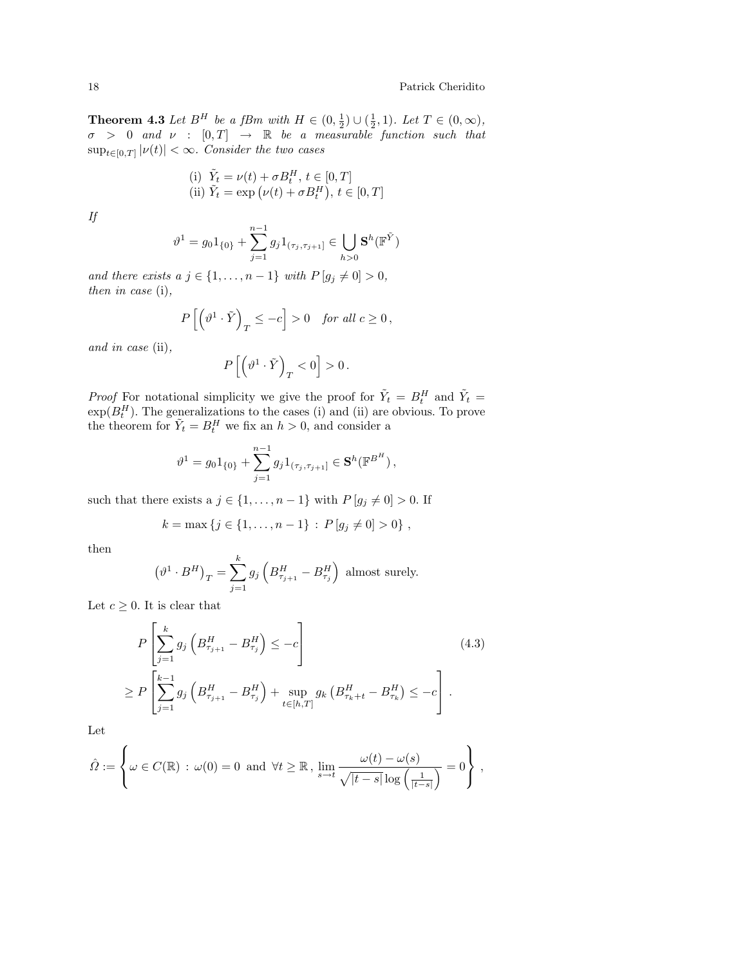**Theorem 4.3** Let  $B^H$  be a fBm with  $H \in (0, \frac{1}{2}) \cup (\frac{1}{2}, 1)$ . Let  $T \in (0, \infty)$ ,  $\sigma > 0$  and  $\nu : [0, T] \rightarrow \mathbb{R}$  be a measurable function such that  $\sup_{t \in [0,T]} |\nu(t)| < \infty$ . Consider the two cases

(i) 
$$
\tilde{Y}_t = \nu(t) + \sigma B_t^H
$$
,  $t \in [0, T]$   
\n(ii)  $\tilde{Y}_t = \exp(\nu(t) + \sigma B_t^H)$ ,  $t \in [0, T]$ 

If

$$
\vartheta^1 = g_0 1_{\{0\}} + \sum_{j=1}^{n-1} g_j 1_{(\tau_j, \tau_{j+1}]} \in \bigcup_{h>0} \mathbf{S}^h(\mathbb{F}^{\tilde{Y}})
$$

and there exists a  $j \in \{1, \ldots, n-1\}$  with  $P[g_j \neq 0] > 0$ , then in case (i),

$$
P\left[\left(\vartheta^1\cdot\tilde{Y}\right)_T\le-c\right]>0\quad\text{for all }c\ge0\,,
$$

and in case (ii),

$$
P\left[\left(\vartheta^1\cdot\tilde{Y}\right)_T<0\right]>0\,.
$$

*Proof* For notational simplicity we give the proof for  $\tilde{Y}_t = B_t^H$  and  $\tilde{Y}_t =$  $\exp(B_t^H)$ . The generalizations to the cases (i) and (ii) are obvious. To prove the theorem for  $\tilde{Y}_t = B_t^H$  we fix an  $h > 0$ , and consider a

$$
\vartheta^1 = g_0 1_{\{0\}} + \sum_{j=1}^{n-1} g_j 1_{(\tau_j, \tau_{j+1}]} \in \mathbf{S}^h(\mathbb{F}^{B^H}),
$$

such that there exists a  $j \in \{1, \ldots, n-1\}$  with  $P[g_j \neq 0] > 0$ . If

$$
k = \max \{ j \in \{ 1, \ldots, n-1 \} : P[g_j \neq 0] > 0 \},
$$

then

$$
\left(\vartheta^1 \cdot B^H\right)_T = \sum_{j=1}^k g_j \left(B^H_{\tau_{j+1}} - B^H_{\tau_j}\right)
$$
 almost surely.

Let  $c \geq 0$ . It is clear that

$$
P\left[\sum_{j=1}^{k} g_j \left(B_{\tau_{j+1}}^H - B_{\tau_j}^H\right) \le -c\right]
$$
\n
$$
\ge P\left[\sum_{j=1}^{k-1} g_j \left(B_{\tau_{j+1}}^H - B_{\tau_j}^H\right) + \sup_{t \in [h,T]} g_k \left(B_{\tau_k + t}^H - B_{\tau_k}^H\right) \le -c\right].
$$
\n(4.3)

 $\overline{a}$ 

Let

$$
\hat{\Omega} := \left\{ \omega \in C(\mathbb{R}) \, : \, \omega(0) = 0 \text{ and } \forall t \geq \mathbb{R} \,, \, \lim_{s \to t} \frac{\omega(t) - \omega(s)}{\sqrt{|t - s|} \log \left( \frac{1}{|t - s|} \right)} = 0 \right\} \,,
$$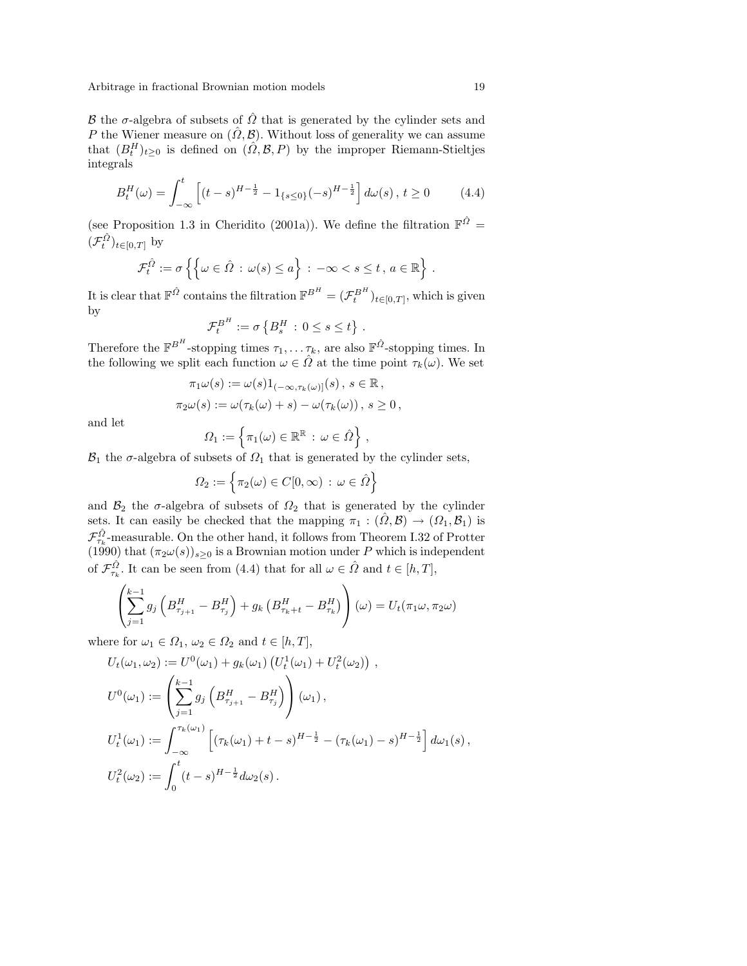B the  $\sigma$ -algebra of subsets of  $\hat{\Omega}$  that is generated by the cylinder sets and P the Wiener measure on  $(\hat{\Omega}, \mathcal{B})$ . Without loss of generality we can assume that  $(B_t^H)_{t\geq0}$  is defined on  $(\hat{\Omega}, \mathcal{B}, P)$  by the improper Riemann-Stieltjes integrals

$$
B_t^H(\omega) = \int_{-\infty}^t \left[ (t-s)^{H-\frac{1}{2}} - 1_{\{s \le 0\}} (-s)^{H-\frac{1}{2}} \right] d\omega(s), \ t \ge 0 \tag{4.4}
$$

(see Proposition 1.3 in Cheridito (2001a)). We define the filtration  $\mathbb{F}^{\hat{\Omega}} =$  $(\mathcal{F}^{\hat{\Omega}}_t)_{t\in[0,T]}$  by

$$
\mathcal{F}_t^{\hat{\Omega}} := \sigma \left\{ \left\{ \omega \in \hat{\Omega} : \omega(s) \leq a \right\} : -\infty < s \leq t, \, a \in \mathbb{R} \right\}
$$

It is clear that  $\mathbb{F}^{\hat{\Omega}}$  contains the filtration  $\mathbb{F}^{B^H} = (\mathcal{F}^{B^H}_t)_{t \in [0,T]}$ , which is given by © ª

$$
\mathcal{F}_t^{B^H} := \sigma\left\{B_s^H \,:\, 0 \leq s \leq t\right\} \,.
$$

Therefore the  $\mathbb{F}^{B^H}$ -stopping times  $\tau_1, \ldots \tau_k$ , are also  $\mathbb{F}^{\hat{\Omega}}$ -stopping times. In the following we split each function  $\omega \in \hat{\Omega}$  at the time point  $\tau_k(\omega)$ . We set

$$
\pi_1 \omega(s) := \omega(s) 1_{(-\infty, \tau_k(\omega)]}(s), \ s \in \mathbb{R},
$$
  

$$
\pi_2 \omega(s) := \omega(\tau_k(\omega) + s) - \omega(\tau_k(\omega)), \ s \ge 0,
$$

and let

$$
\varOmega_1 := \left\{ \pi_1(\omega) \in \mathbb{R}^{\mathbb{R}} \, : \, \omega \in \hat{\varOmega} \right\},\,
$$

 $\mathcal{B}_1$  the  $\sigma$ -algebra of subsets of  $\Omega_1$  that is generated by the cylinder sets,

$$
\Omega_2 := \left\{ \pi_2(\omega) \in C[0, \infty) \, : \, \omega \in \hat{\Omega} \right\}
$$

and  $\mathcal{B}_2$  the  $\sigma$ -algebra of subsets of  $\Omega_2$  that is generated by the cylinder sets. It can easily be checked that the mapping  $\pi_1 : (\hat{\Omega}, \mathcal{B}) \to (\Omega_1, \mathcal{B}_1)$  is  $\mathcal{F}_{\tau_k}^{\hat{\Omega}}$ -measurable. On the other hand, it follows from Theorem I.32 of Protter (1990) that  $(\pi_2 \omega(s))_{s\geq 0}$  is a Brownian motion under P which is independent of  $\mathcal{F}_{\tau_k}^{\hat{\Omega}}$ . It can be seen from (4.4) that for all  $\omega \in \hat{\Omega}$  and  $t \in [h, T]$ ,

$$
\left(\sum_{j=1}^{k-1} g_j \left(B_{\tau_{j+1}}^H - B_{\tau_j}^H\right) + g_k \left(B_{\tau_k+t}^H - B_{\tau_k}^H\right)\right) (\omega) = U_t(\pi_1 \omega, \pi_2 \omega)
$$

where for  $\omega_1 \in \Omega_1$ ,  $\omega_2 \in \Omega_2$  and  $t \in [h, T]$ ,

$$
U_t(\omega_1, \omega_2) := U^0(\omega_1) + g_k(\omega_1) (U_t^1(\omega_1) + U_t^2(\omega_2)),
$$
  
\n
$$
U^0(\omega_1) := \left(\sum_{j=1}^{k-1} g_j \left(B_{\tau_{j+1}}^H - B_{\tau_j}^H\right)\right)(\omega_1),
$$
  
\n
$$
U_t^1(\omega_1) := \int_{-\infty}^{\tau_k(\omega_1)} \left[ (\tau_k(\omega_1) + t - s)^{H - \frac{1}{2}} - (\tau_k(\omega_1) - s)^{H - \frac{1}{2}} \right] d\omega_1(s),
$$
  
\n
$$
U_t^2(\omega_2) := \int_0^t (t - s)^{H - \frac{1}{2}} d\omega_2(s).
$$

.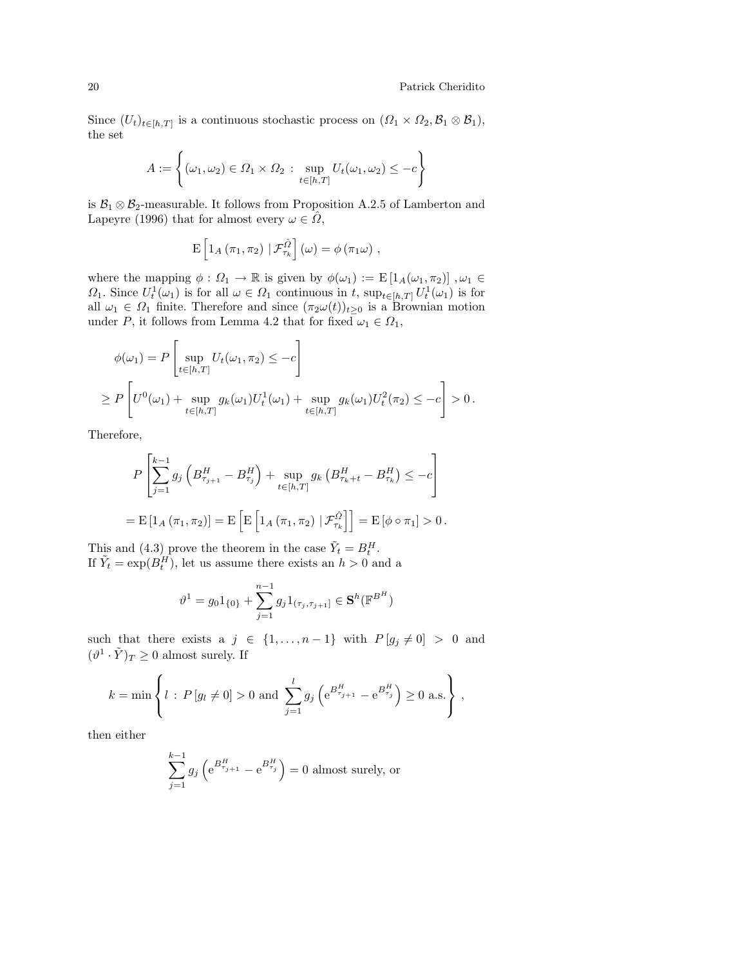Since  $(U_t)_{t\in[h,T]}$  is a continuous stochastic process on  $(\Omega_1 \times \Omega_2, \mathcal{B}_1 \otimes \mathcal{B}_1)$ , the set

$$
A := \left\{ (\omega_1, \omega_2) \in \Omega_1 \times \Omega_2 : \sup_{t \in [h, T]} U_t(\omega_1, \omega_2) \leq -c \right\}
$$

is  $\mathcal{B}_1 \otimes \mathcal{B}_2$ -measurable. It follows from Proposition A.2.5 of Lamberton and Lapeyre (1996) that for almost every  $\omega \in \Omega$ ,

$$
\mathrm{E}\left[1_A\left(\pi_1,\pi_2\right)\big| \mathcal{F}_{\tau_k}^{\hat{\Omega}}\right](\omega)=\phi\left(\pi_1\omega\right),\,
$$

where the mapping  $\phi : \Omega_1 \to \mathbb{R}$  is given by  $\phi(\omega_1) := E \left[ 1_A(\omega_1, \pi_2) \right], \omega_1 \in$  $\Omega_1$ . Since  $U_t^1(\omega_1)$  is for all  $\omega \in \Omega_1$  continuous in t,  $\sup_{t \in [h,T]} U_t^1(\omega_1)$  is for all  $\omega_1 \in \Omega_1$  finite. Therefore and since  $(\pi_2 \omega(t))_{t \geq 0}$  is a Brownian motion under P, it follows from Lemma 4.2 that for fixed  $\omega_1 \in \Omega_1$ ,

$$
\phi(\omega_1) = P \left[ \sup_{t \in [h,T]} U_t(\omega_1, \pi_2) \leq -c \right]
$$
  
\n
$$
\geq P \left[ U^0(\omega_1) + \sup_{t \in [h,T]} g_k(\omega_1) U_t^1(\omega_1) + \sup_{t \in [h,T]} g_k(\omega_1) U_t^2(\pi_2) \leq -c \right] > 0.
$$

Therefore,

.<br> $\overline{a}$ 

$$
P\left[\sum_{j=1}^{k-1} g_j \left(B_{\tau_{j+1}}^H - B_{\tau_j}^H\right) + \sup_{t \in [h,T]} g_k \left(B_{\tau_k + t}^H - B_{\tau_k}^H\right) \le -c\right]
$$
  
=  $E\left[1_A \left(\pi_1, \pi_2\right)\right] = E\left[E\left[1_A \left(\pi_1, \pi_2\right) \mid \mathcal{F}_{\tau_k}^{\hat{\Omega}}\right]\right] = E\left[\phi \circ \pi_1\right] > 0.$ 

This and (4.3) prove the theorem in the case  $\tilde{Y}_t = B_t^H$ . If  $\tilde{Y}_t = \exp(B_t^H)$ , let us assume there exists an  $h > 0$  and a

$$
\vartheta^1 = g_0 1_{\{0\}} + \sum_{j=1}^{n-1} g_j 1_{(\tau_j, \tau_{j+1}]} \in \mathbf{S}^h(\mathbb{F}^{B^H})
$$

such that there exists a  $j \in \{1, ..., n-1\}$  with  $P[g_j \neq 0] > 0$  and  $(\vartheta^1 \cdot \tilde{Y})_T \geq 0$  almost surely. If

$$
k = \min \left\{ l : P[g_l \neq 0] > 0 \text{ and } \sum_{j=1}^{l} g_j \left( e^{B_{\tau_{j+1}}^H} - e^{B_{\tau_j}^H} \right) \ge 0 \text{ a.s.} \right\},\right\}
$$

then either

$$
\sum_{j=1}^{k-1} g_j \left( e^{B_{\tau_{j+1}}^H} - e^{B_{\tau_j}^H} \right) = 0
$$
 almost surely, or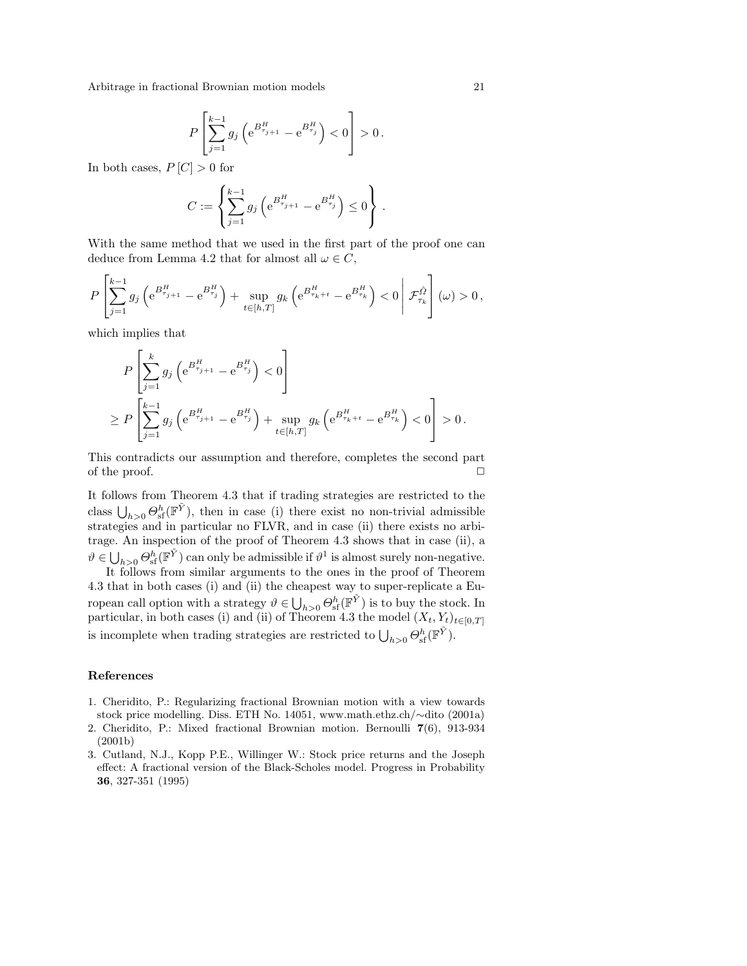$$
P\left[\sum_{j=1}^{k-1} g_j \left(e^{B_{\tau_{j+1}}^H} - e^{B_{\tau_j}^H}\right) < 0\right] > 0.
$$

In both cases,  $P[C] > 0$  for

$$
C := \left\{ \sum_{j=1}^{k-1} g_j \left( e^{B_{\tau_{j+1}}^H} - e^{B_{\tau_j}^H} \right) \leq 0 \right\}.
$$

With the same method that we used in the first part of the proof one can deduce from Lemma 4.2 that for almost all  $\omega \in C$ ,

$$
P\left[\sum_{j=1}^{k-1} g_j \left(e^{B_{\tau_{j+1}}^H}-e^{B_{\tau_j}^H}\right)+\sup_{t\in[h,T]} g_k \left(e^{B_{\tau_k+t}^H}-e^{B_{\tau_k}^H}\right)<0\right|\mathcal{F}_{\tau_k}^{\hat{\Omega}}\right](\omega)>0\,,
$$

which implies that

$$
P\left[\sum_{j=1}^{k} g_j \left(e^{B_{\tau_{j+1}}^H} - e^{B_{\tau_j}^H}\right) < 0\right] \\
\geq P\left[\sum_{j=1}^{k-1} g_j \left(e^{B_{\tau_{j+1}}^H} - e^{B_{\tau_j}^H}\right) + \sup_{t \in [h,T]} g_k \left(e^{B_{\tau_k+t}^H} - e^{B_{\tau_k}^H}\right) < 0\right] > 0.
$$

This contradicts our assumption and therefore, completes the second part of the proof.  $\Box$ 

It follows from Theorem 4.3 that if trading strategies are restricted to the to class  $\bigcup_{h>0} \Theta_{\rm sf}^h(\mathbb{F}^{\tilde{Y}})$ , then in case (i) there exist no non-trivial admissible strategies and in particular no FLVR, and in case (ii) there exists no arbitrage. An inspection of the proof of Theorem 4.3 shows that in case (ii), a  $\vartheta$  ∈  $\bigcup_{h>0} \Theta_h^h(\mathbb{F}^{\tilde{Y}})$  can only be admissible if  $\vartheta^1$  is almost surely non-negative.

It follows from similar arguments to the ones in the proof of Theorem 4.3 that in both cases (i) and (ii) the cheapest way to super-replicate a Eu-**The strategy of the complexity of the strategy of**  $\bigcup_{h>0} \Theta_{\text{sf}}^h(\mathbb{F}^{\tilde{Y}})$  **is to buy the stock. In** particular, in both cases (i) and (ii) of Theorem 4.3 the model  $(X_t, Y_t)_{t \in [0,T]}$ is incomplete when trading strategies are restricted to  $\bigcup_{h>0} \Theta_{\text{sf}}^h(\mathbb{F}^{\tilde{Y}})$ .

### References

- 1. Cheridito, P.: Regularizing fractional Brownian motion with a view towards stock price modelling. Diss. ETH No. 14051, www.math.ethz.ch/∼dito (2001a)
- 2. Cheridito, P.: Mixed fractional Brownian motion. Bernoulli 7(6), 913-934 (2001b)
- 3. Cutland, N.J., Kopp P.E., Willinger W.: Stock price returns and the Joseph effect: A fractional version of the Black-Scholes model. Progress in Probability 36, 327-351 (1995)